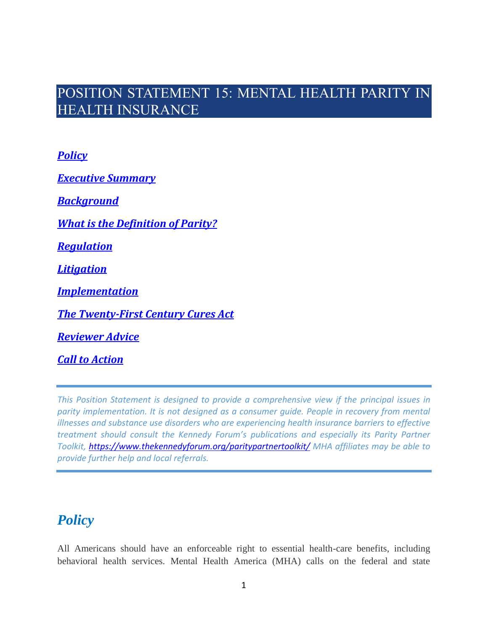# POSITION STATEMENT 15: MENTAL HEALTH PARITY IN HEALTH INSURANCE

*[Policy](#page-0-0)*

*[Executive Summary](#page-1-0)*

*[Background](#page-4-0)*

*[What is the Definition of Parity?](#page-6-0)*

*[Regulation](#page-13-0)*

*[Litigation](#page-17-0)*

*[Implementation](#page-22-0)*

*[The Twenty-First Century Cures Act](#page-23-0)*

*[Reviewer Advice](#page-23-1)*

*[Call to Action](#page-24-0)*

*This Position Statement is designed to provide a comprehensive view if the principal issues in parity implementation. It is not designed as a consumer guide. People in recovery from mental illnesses and substance use disorders who are experiencing health insurance barriers to effective treatment should consult the Kennedy Forum's publications and especially its Parity Partner Toolkit,<https://www.thekennedyforum.org/paritypartnertoolkit/> MHA affiliates may be able to provide further help and local referrals.*

# <span id="page-0-0"></span>*Policy*

All Americans should have an enforceable right to essential health-care benefits, including behavioral health services. Mental Health America (MHA) calls on the federal and state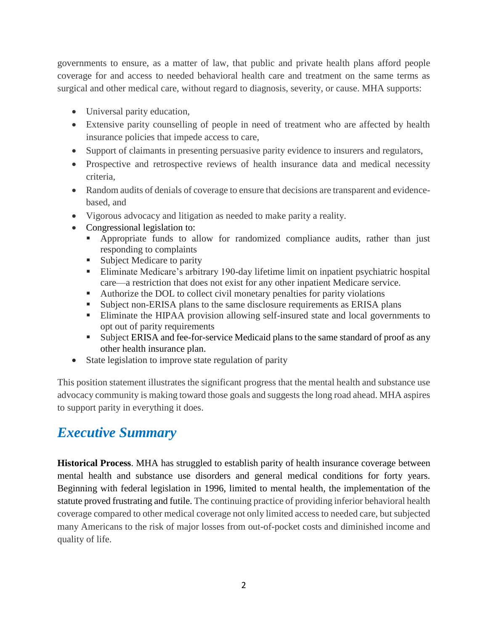governments to ensure, as a matter of law, that public and private health plans afford people coverage for and access to needed behavioral health care and treatment on the same terms as surgical and other medical care, without regard to diagnosis, severity, or cause. MHA supports:

- Universal parity education,
- Extensive parity counselling of people in need of treatment who are affected by health insurance policies that impede access to care,
- Support of claimants in presenting persuasive parity evidence to insurers and regulators,
- Prospective and retrospective reviews of health insurance data and medical necessity criteria,
- Random audits of denials of coverage to ensure that decisions are transparent and evidencebased, and
- Vigorous advocacy and litigation as needed to make parity a reality.
- Congressional legislation to:
	- Appropriate funds to allow for randomized compliance audits, rather than just responding to complaints
	- Subject Medicare to parity
	- **Eliminate Medicare's arbitrary 190-day lifetime limit on inpatient psychiatric hospital** care—a restriction that does not exist for any other inpatient Medicare service.
	- Authorize the DOL to collect civil monetary penalties for parity violations
	- Subject non-ERISA plans to the same disclosure requirements as ERISA plans
	- **Eliminate the HIPAA provision allowing self-insured state and local governments to** opt out of parity requirements
	- Subject ERISA and fee-for-service Medicaid plans to the same standard of proof as any other health insurance plan.
- State legislation to improve state regulation of parity

This position statement illustrates the significant progress that the mental health and substance use advocacy community is making toward those goals and suggests the long road ahead. MHA aspires to support parity in everything it does.

# <span id="page-1-0"></span>*Executive Summary*

**Historical Process**. MHA has struggled to establish parity of health insurance coverage between mental health and substance use disorders and general medical conditions for forty years. Beginning with federal legislation in 1996, limited to mental health, the implementation of the statute proved frustrating and futile. The continuing practice of providing inferior behavioral health coverage compared to other medical coverage not only limited access to needed care, but subjected many Americans to the risk of major losses from out-of-pocket costs and diminished income and quality of life.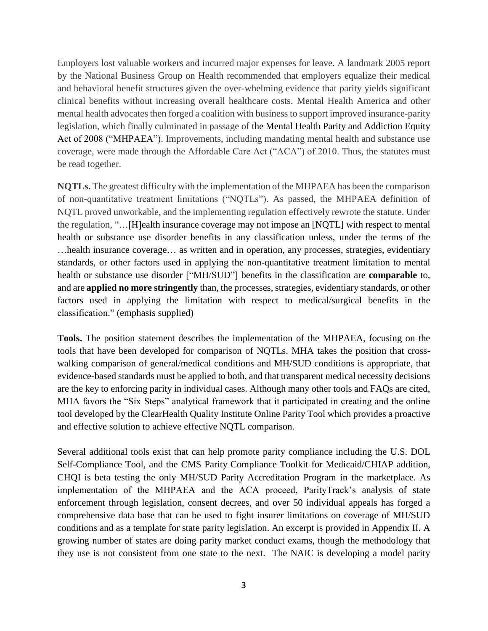Employers lost valuable workers and incurred major expenses for leave. A landmark 2005 report by the National Business Group on Health recommended that employers equalize their medical and behavioral benefit structures given the over-whelming evidence that parity yields significant clinical benefits without increasing overall healthcare costs. Mental Health America and other mental health advocates then forged a coalition with business to support improved insurance-parity legislation, which finally culminated in passage of the Mental Health Parity and Addiction Equity Act of 2008 ("MHPAEA"). Improvements, including mandating mental health and substance use coverage, were made through the Affordable Care Act ("ACA") of 2010. Thus, the statutes must be read together.

**NQTLs.** The greatest difficulty with the implementation of the MHPAEA has been the comparison of non-quantitative treatment limitations ("NQTLs"). As passed, the MHPAEA definition of NQTL proved unworkable, and the implementing regulation effectively rewrote the statute. Under the regulation, "…[H]ealth insurance coverage may not impose an [NQTL] with respect to mental health or substance use disorder benefits in any classification unless, under the terms of the …health insurance coverage… as written and in operation, any processes, strategies, evidentiary standards, or other factors used in applying the non-quantitative treatment limitation to mental health or substance use disorder ["MH/SUD"] benefits in the classification are **comparable** to, and are **applied no more stringently** than, the processes, strategies, evidentiary standards, or other factors used in applying the limitation with respect to medical/surgical benefits in the classification." (emphasis supplied)

**Tools.** The position statement describes the implementation of the MHPAEA, focusing on the tools that have been developed for comparison of NQTLs. MHA takes the position that crosswalking comparison of general/medical conditions and MH/SUD conditions is appropriate, that evidence-based standards must be applied to both, and that transparent medical necessity decisions are the key to enforcing parity in individual cases. Although many other tools and FAQs are cited, MHA favors the "Six Steps" analytical framework that it participated in creating and the online tool developed by the ClearHealth Quality Institute Online Parity Tool which provides a proactive and effective solution to achieve effective NQTL comparison.

Several additional tools exist that can help promote parity compliance including the [U.S. DOL](https://www.dol.gov/sites/default/files/ebsa/about-ebsa/our-activities/resource-center/publications/compliance-assistance-guide-appendix-a-mhpaea.pdf)  [Self-Compliance Tool,](https://www.dol.gov/sites/default/files/ebsa/about-ebsa/our-activities/resource-center/publications/compliance-assistance-guide-appendix-a-mhpaea.pdf) and the [CMS Parity Compliance Toolkit for Medicaid/CHIAP](https://www.medicaid.gov/medicaid/benefits/downloads/bhs/parity-toolkit.pdf) addition, CHQI is beta testing the only [MH/SUD Parity Accreditation Program](https://www.chqi.com/programs-and-services/parity-accreditation/) in the marketplace. As implementation of the MHPAEA and the ACA proceed, ParityTrack's analysis of state enforcement through legislation, consent decrees, and over 50 individual appeals has forged a comprehensive data base that can be used to fight insurer limitations on coverage of MH/SUD conditions and as a template for state parity legislation. An excerpt is provided in Appendix II. A growing number of states are doing parity market conduct exams, though the methodology that they use is not consistent from one state to the next. The NAIC is developing a model parity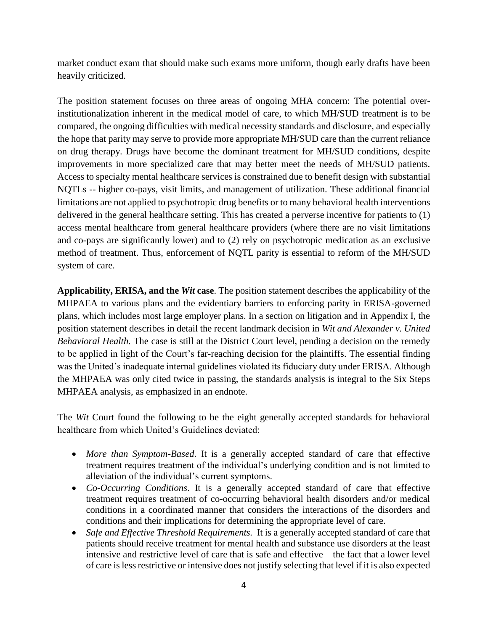market conduct exam that should make such exams more uniform, though early drafts have been heavily criticized.

The position statement focuses on three areas of ongoing MHA concern: The potential overinstitutionalization inherent in the medical model of care, to which MH/SUD treatment is to be compared, the ongoing difficulties with medical necessity standards and disclosure, and especially the hope that parity may serve to provide more appropriate MH/SUD care than the current reliance on drug therapy. Drugs have become the dominant treatment for MH/SUD conditions, despite improvements in more specialized care that may better meet the needs of MH/SUD patients. Access to specialty mental healthcare services is constrained due to benefit design with substantial NQTLs -- higher co-pays, visit limits, and management of utilization. These additional financial limitations are not applied to psychotropic drug benefits or to many behavioral health interventions delivered in the general healthcare setting. This has created a perverse incentive for patients to (1) access mental healthcare from general healthcare providers (where there are no visit limitations and co-pays are significantly lower) and to (2) rely on psychotropic medication as an exclusive method of treatment. Thus, enforcement of NQTL parity is essential to reform of the MH/SUD system of care.

**Applicability, ERISA, and the** *Wit* **case**. The position statement describes the applicability of the MHPAEA to various plans and the evidentiary barriers to enforcing parity in ERISA-governed plans, which includes most large employer plans. In a section on litigation and in Appendix I, the position statement describes in detail the recent landmark decision in *Wit and Alexander v. United Behavioral Health.* The case is still at the District Court level, pending a decision on the remedy to be applied in light of the Court's far-reaching decision for the plaintiffs. The essential finding was the United's inadequate internal guidelines violated its fiduciary duty under ERISA. Although the MHPAEA was only cited twice in passing, the standards analysis is integral to the Six Steps MHPAEA analysis, as emphasized in an endnote.

The *Wit* Court found the following to be the eight generally accepted standards for behavioral healthcare from which United's Guidelines deviated:

- *More than Symptom-Based*. It is a generally accepted standard of care that effective treatment requires treatment of the individual's underlying condition and is not limited to alleviation of the individual's current symptoms.
- *Co-Occurring Conditions*. It is a generally accepted standard of care that effective treatment requires treatment of co-occurring behavioral health disorders and/or medical conditions in a coordinated manner that considers the interactions of the disorders and conditions and their implications for determining the appropriate level of care.
- *Safe and Effective Threshold Requirements.* It is a generally accepted standard of care that patients should receive treatment for mental health and substance use disorders at the least intensive and restrictive level of care that is safe and effective – the fact that a lower level of care is less restrictive or intensive does not justify selecting that level if it is also expected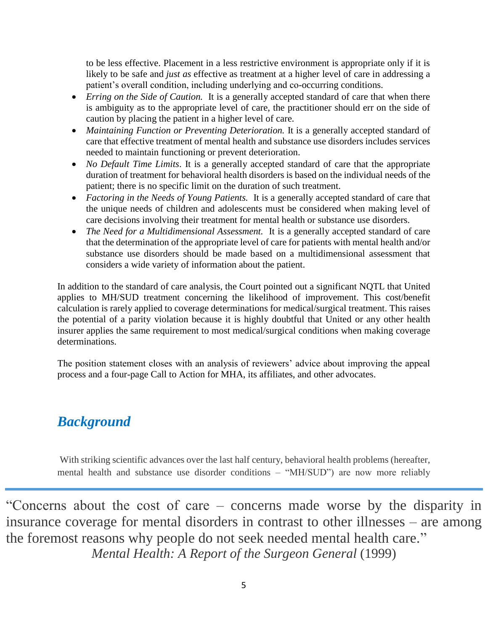to be less effective. Placement in a less restrictive environment is appropriate only if it is likely to be safe and *just as* effective as treatment at a higher level of care in addressing a patient's overall condition, including underlying and co-occurring conditions.

- *Erring on the Side of Caution*. It is a generally accepted standard of care that when there is ambiguity as to the appropriate level of care, the practitioner should err on the side of caution by placing the patient in a higher level of care.
- *Maintaining Function or Preventing Deterioration*. It is a generally accepted standard of care that effective treatment of mental health and substance use disorders includes services needed to maintain functioning or prevent deterioration.
- *No Default Time Limits*. It is a generally accepted standard of care that the appropriate duration of treatment for behavioral health disorders is based on the individual needs of the patient; there is no specific limit on the duration of such treatment.
- *Factoring in the Needs of Young Patients.* It is a generally accepted standard of care that the unique needs of children and adolescents must be considered when making level of care decisions involving their treatment for mental health or substance use disorders.
- *The Need for a Multidimensional Assessment.* It is a generally accepted standard of care that the determination of the appropriate level of care for patients with mental health and/or substance use disorders should be made based on a multidimensional assessment that considers a wide variety of information about the patient.

In addition to the standard of care analysis, the Court pointed out a significant NQTL that United applies to MH/SUD treatment concerning the likelihood of improvement. This cost/benefit calculation is rarely applied to coverage determinations for medical/surgical treatment. This raises the potential of a parity violation because it is highly doubtful that United or any other health insurer applies the same requirement to most medical/surgical conditions when making coverage determinations.

The position statement closes with an analysis of reviewers' advice about improving the appeal process and a four-page Call to Action for MHA, its affiliates, and other advocates.

# <span id="page-4-0"></span>*Background*

With striking scientific advances over the last half century, behavioral health problems (hereafter, mental health and substance use disorder conditions – "MH/SUD") are now more reliably

"Concerns about the cost of care – concerns made worse by the disparity in insurance coverage for mental disorders in contrast to other illnesses – are among the foremost reasons why people do not seek needed mental health care." *Mental Health: A Report of the Surgeon General* (1999)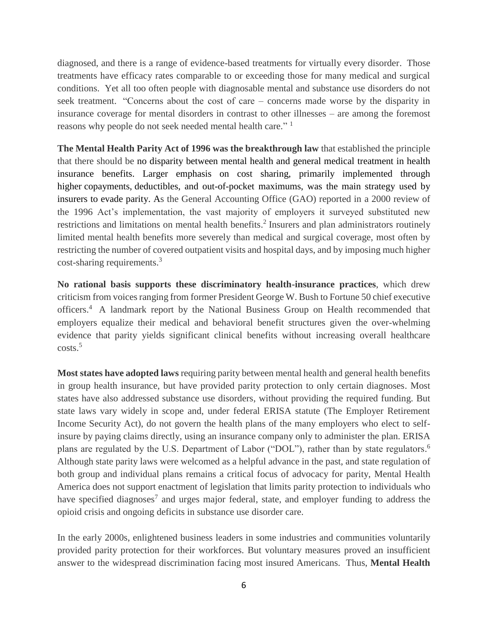diagnosed, and there is a range of evidence-based treatments for virtually every disorder. Those treatments have efficacy rates comparable to or exceeding those for many medical and surgical conditions. Yet all too often people with diagnosable mental and substance use disorders do not seek treatment. "Concerns about the cost of care – concerns made worse by the disparity in insurance coverage for mental disorders in contrast to other illnesses – are among the foremost reasons why people do not seek needed mental health care."<sup>1</sup>

**The Mental Health Parity Act of 1996 was the breakthrough law** that established the principle that there should be no disparity between mental health and general medical treatment in health insurance benefits. Larger emphasis on cost sharing, primarily implemented through higher [copayments,](https://en.wikipedia.org/wiki/Copayment) [deductibles,](https://en.wikipedia.org/wiki/Deductible) and out-of-pocket maximums, was the main strategy used by insurers to evade parity. As the General Accounting Office (GAO) reported in a 2000 review of the 1996 Act's implementation, the vast majority of employers it surveyed substituted new restrictions and limitations on mental health benefits. 2 Insurers and plan administrators routinely limited mental health benefits more severely than medical and surgical coverage, most often by restricting the number of covered outpatient visits and hospital days, and by imposing much higher cost-sharing requirements.<sup>3</sup>

**No rational basis supports these discriminatory health-insurance practices**, which drew criticism from voices ranging from former President George W. Bush to Fortune 50 chief executive officers.<sup>4</sup> A landmark report by the National Business Group on Health recommended that employers equalize their medical and behavioral benefit structures given the over-whelming evidence that parity yields significant clinical benefits without increasing overall healthcare  $\csc 5$ 

**Most states have adopted laws** requiring parity between mental health and general health benefits in group health insurance, but have provided parity protection to only certain diagnoses. Most states have also addressed substance use disorders, without providing the required funding. But state laws vary widely in scope and, under federal ERISA statute (The Employer Retirement Income Security Act), do not govern the health plans of the many employers who elect to selfinsure by paying claims directly, using an insurance company only to administer the plan. ERISA plans are regulated by the U.S. Department of Labor ("DOL"), rather than by state regulators.<sup>6</sup> Although state parity laws were welcomed as a helpful advance in the past, and state regulation of both group and individual plans remains a critical focus of advocacy for parity, Mental Health America does not support enactment of legislation that limits parity protection to individuals who have specified diagnoses<sup>7</sup> and urges major federal, state, and employer funding to address the opioid crisis and ongoing deficits in substance use disorder care.

In the early 2000s, enlightened business leaders in some industries and communities voluntarily provided parity protection for their workforces. But voluntary measures proved an insufficient answer to the widespread discrimination facing most insured Americans. Thus, **Mental Health**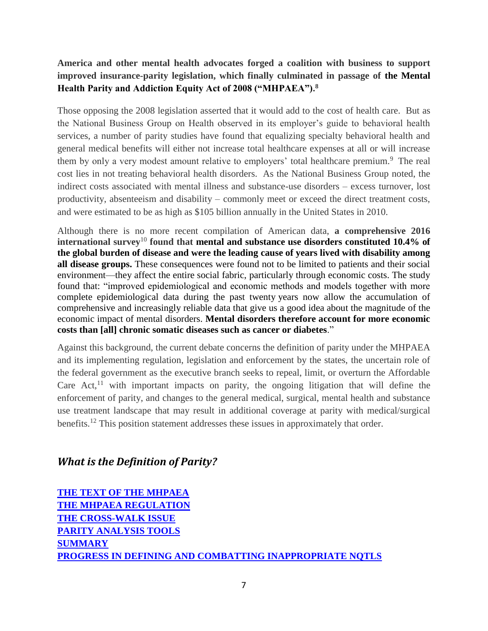# **America and other mental health advocates forged a coalition with business to support improved insurance-parity legislation, which finally culminated in passage of the Mental Health Parity and Addiction Equity Act of 2008 ("MHPAEA"). 8**

Those opposing the 2008 legislation asserted that it would add to the cost of health care. But as the National Business Group on Health observed in its employer's guide to behavioral health services, a number of parity studies have found that equalizing specialty behavioral health and general medical benefits will either not increase total healthcare expenses at all or will increase them by only a very modest amount relative to employers' total healthcare premium.<sup>9</sup> The real cost lies in not treating behavioral health disorders. As the National Business Group noted, the indirect costs associated with mental illness and substance-use disorders – excess turnover, lost productivity, absenteeism and disability – commonly meet or exceed the direct treatment costs, and were estimated to be as high as \$105 billion annually in the United States in 2010.

Although there is no more recent compilation of American data, **a comprehensive 2016 international survey**<sup>10</sup> **found that mental and substance use disorders constituted 10.4% of the global burden of disease and were the leading cause of years lived with disability among all disease groups.** These consequences were found not to be limited to patients and their social environment—they affect the entire social fabric, particularly through economic costs. The study found that: "improved epidemiological and economic methods and models together with more complete epidemiological data during the past twenty years now allow the accumulation of comprehensive and increasingly reliable data that give us a good idea about the magnitude of the economic impact of mental disorders. **Mental disorders therefore account for more economic costs than [all] chronic somatic diseases such as cancer or diabetes**."

Against this background, the current debate concerns the definition of parity under the MHPAEA and its implementing regulation, legislation and enforcement by the states, the uncertain role of the federal government as the executive branch seeks to repeal, limit, or overturn the Affordable Care Act, $^{11}$  with important impacts on parity, the ongoing litigation that will define the enforcement of parity, and changes to the general medical, surgical, mental health and substance use treatment landscape that may result in additional coverage at parity with medical/surgical benefits.<sup>12</sup> This position statement addresses these issues in approximately that order.

# <span id="page-6-0"></span>*What is the Definition of Parity?*

**[THE TEXT OF THE MHPAEA](#page-7-0) [THE MHPAEA REGULATION](#page-7-1) [THE CROSS-WALK ISSUE](#page-9-0) [PARITY ANALYSIS TOOLS](#page-10-0) [SUMMARY](#page-11-0) [PROGRESS IN DEFINING AND COMBATTING INAPPROPRIATE NQTLS](#page-11-1)**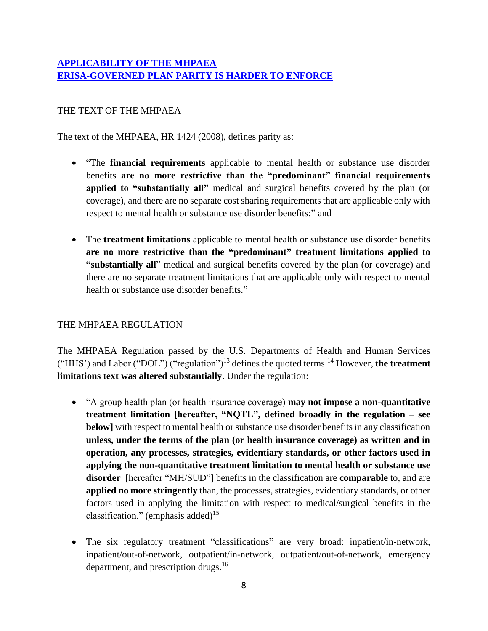# **[APPLICABILITY OF THE MHPAEA](#page-12-0) [ERISA-GOVERNED PLAN PARITY IS HARDER TO ENFORCE](#page-13-1)**

# <span id="page-7-0"></span>THE TEXT OF THE MHPAEA

The text of the MHPAEA, HR 1424 (2008), defines parity as:

- "The **financial requirements** applicable to mental health or substance use disorder benefits **are no more restrictive than the "predominant" financial requirements applied to "substantially all"** medical and surgical benefits covered by the plan (or coverage), and there are no separate cost sharing requirements that are applicable only with respect to mental health or substance use disorder benefits;" and
- The **treatment limitations** applicable to mental health or substance use disorder benefits **are no more restrictive than the "predominant" treatment limitations applied to "substantially all**" medical and surgical benefits covered by the plan (or coverage) and there are no separate treatment limitations that are applicable only with respect to mental health or substance use disorder benefits."

# <span id="page-7-1"></span>THE MHPAEA REGULATION

The MHPAEA Regulation passed by the U.S. Departments of Health and Human Services ("HHS') and Labor ("DOL") ("regulation")<sup>13</sup> defines the quoted terms.<sup>14</sup> However, **the treatment limitations text was altered substantially**. Under the regulation:

- "A group health plan (or health insurance coverage) **may not impose a non-quantitative treatment limitation [hereafter, "NQTL", defined broadly in the regulation – see below]** with respect to mental health or substance use disorder benefits in any classification **unless, under the terms of the plan (or health insurance coverage) as written and in operation, any processes, strategies, evidentiary standards, or other factors used in applying the non-quantitative treatment limitation to mental health or substance use disorder** [hereafter "MH/SUD"] benefits in the classification are **comparable** to, and are **applied no more stringently** than, the processes, strategies, evidentiary standards, or other factors used in applying the limitation with respect to medical/surgical benefits in the classification." (emphasis added)<sup>15</sup>
- The six regulatory treatment "classifications" are very broad: inpatient/in-network, inpatient/out-of-network, outpatient/in-network, outpatient/out-of-network, emergency department, and prescription drugs.<sup>16</sup>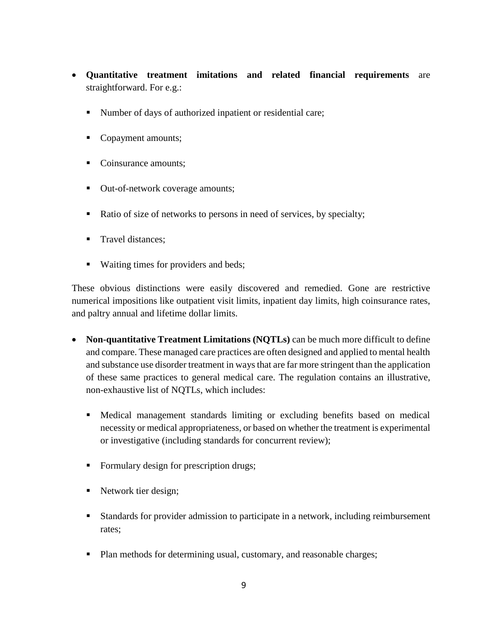- **Quantitative treatment imitations and related financial requirements** are straightforward. For e.g.:
	- Number of days of authorized inpatient or residential care;
	- Copayment amounts;
	- Coinsurance amounts;
	- Out-of-network coverage amounts;
	- Ratio of size of networks to persons in need of services, by specialty;
	- Travel distances;
	- Waiting times for providers and beds;

These obvious distinctions were easily discovered and remedied. Gone are restrictive numerical impositions like outpatient visit limits, inpatient day limits, high coinsurance rates, and paltry annual and lifetime dollar limits.

- **Non-quantitative Treatment Limitations (NQTLs)** can be much more difficult to define and compare. These managed care practices are often designed and applied to mental health and substance use disorder treatment in ways that are far more stringent than the application of these same practices to general medical care. The regulation contains an illustrative, non-exhaustive list of NQTLs, which includes:
	- Medical management standards limiting or excluding benefits based on medical necessity or medical appropriateness, or based on whether the treatment is experimental or investigative (including standards for concurrent review);
	- Formulary design for prescription drugs;
	- Network tier design;
	- Standards for provider admission to participate in a network, including reimbursement rates;
	- Plan methods for determining usual, customary, and reasonable charges;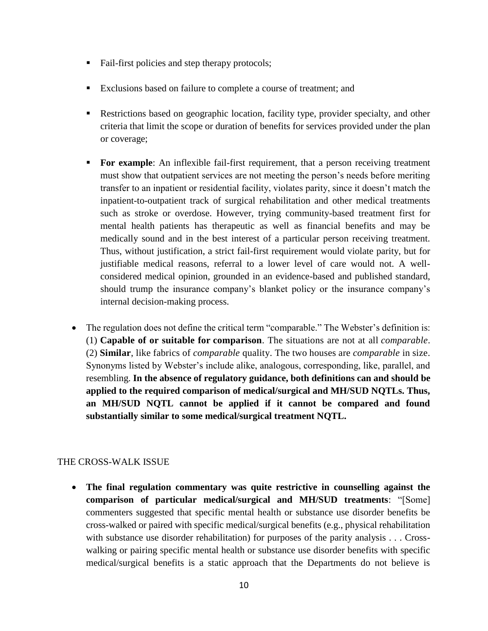- Fail-first policies and step therapy protocols;
- Exclusions based on failure to complete a course of treatment; and
- Restrictions based on geographic location, facility type, provider specialty, and other criteria that limit the scope or duration of benefits for services provided under the plan or coverage;
- **For example:** An inflexible fail-first requirement, that a person receiving treatment must show that outpatient services are not meeting the person's needs before meriting transfer to an inpatient or residential facility, violates parity, since it doesn't match the inpatient-to-outpatient track of surgical rehabilitation and other medical treatments such as stroke or overdose. However, trying community-based treatment first for mental health patients has therapeutic as well as financial benefits and may be medically sound and in the best interest of a particular person receiving treatment. Thus, without justification, a strict fail-first requirement would violate parity, but for justifiable medical reasons, referral to a lower level of care would not. A wellconsidered medical opinion, grounded in an evidence-based and published standard, should trump the insurance company's blanket policy or the insurance company's internal decision-making process.
- The regulation does not define the critical term "comparable." The Webster's definition is: (1) **Capable of or suitable for [comparison](https://www.merriam-webster.com/dictionary/comparison)**. The situations are not at all *comparable*. (2) **[Similar](https://www.merriam-webster.com/dictionary/similar)**, [like](https://www.merriam-webster.com/dictionary/like) fabrics of *comparable* quality. The two houses are *comparable* in size. Synonyms listed by Webster's include alike, analogous, corresponding, like, parallel, and resembling. **In the absence of regulatory guidance, both definitions can and should be applied to the required comparison of medical/surgical and MH/SUD NQTLs. Thus, an MH/SUD NQTL cannot be applied if it cannot be compared and found substantially similar to some medical/surgical treatment NQTL.**

# <span id="page-9-0"></span>THE CROSS-WALK ISSUE

• **The final regulation commentary was quite restrictive in counselling against the comparison of particular medical/surgical and MH/SUD treatments**: "[Some] commenters suggested that specific mental health or substance use disorder benefits be cross-walked or paired with specific medical/surgical benefits (e.g., physical rehabilitation with substance use disorder rehabilitation) for purposes of the parity analysis . . . Crosswalking or pairing specific mental health or substance use disorder benefits with specific medical/surgical benefits is a static approach that the Departments do not believe is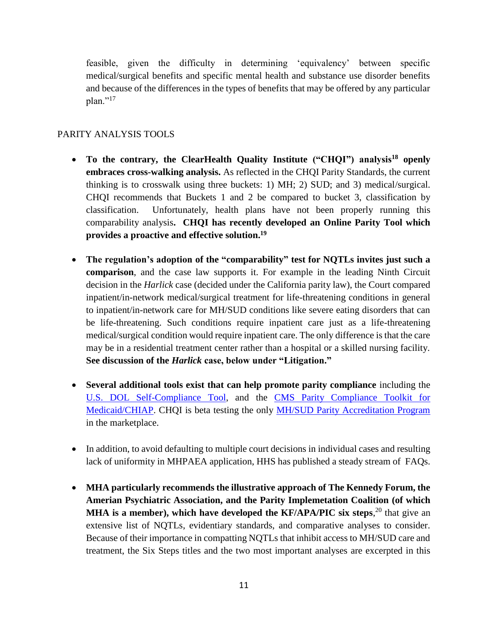feasible, given the difficulty in determining 'equivalency' between specific medical/surgical benefits and specific mental health and substance use disorder benefits and because of the differences in the types of benefits that may be offered by any particular  $plan.^{"17}$ 

## <span id="page-10-0"></span>PARITY ANALYSIS TOOLS

- **To the contrary, the ClearHealth Quality Institute ("CHQI") analysis<sup>18</sup> openly embraces cross-walking analysis.** As reflected in the CHQI Parity Standards, the current thinking is to crosswalk using three buckets: 1) MH; 2) SUD; and 3) medical/surgical. CHQI recommends that Buckets 1 and 2 be compared to bucket 3, classification by classification. Unfortunately, health plans have not been properly running this comparability analysis**. CHQI has recently developed an Online Parity Tool which provides a proactive and effective solution.<sup>19</sup>**
- **The regulation's adoption of the "comparability" test for NQTLs invites just such a comparison**, and the case law supports it. For example in the leading Ninth Circuit decision in the *Harlick* case (decided under the California parity law), the Court compared inpatient/in-network medical/surgical treatment for life-threatening conditions in general to inpatient/in-network care for MH/SUD conditions like severe eating disorders that can be life-threatening. Such conditions require inpatient care just as a life-threatening medical/surgical condition would require inpatient care. The only difference is that the care may be in a residential treatment center rather than a hospital or a skilled nursing facility. **See discussion of the** *Harlick* **case, below under "Litigation."**
- **Several additional tools exist that can help promote parity compliance** including the [U.S. DOL Self-Compliance Tool,](https://www.dol.gov/sites/default/files/ebsa/about-ebsa/our-activities/resource-center/publications/compliance-assistance-guide-appendix-a-mhpaea.pdf) and the [CMS Parity Compliance Toolkit for](https://www.medicaid.gov/medicaid/benefits/downloads/bhs/parity-toolkit.pdf)  [Medicaid/CHIAP.](https://www.medicaid.gov/medicaid/benefits/downloads/bhs/parity-toolkit.pdf) CHQI is beta testing the only [MH/SUD Parity Accreditation Program](https://www.chqi.com/programs-and-services/parity-accreditation/) in the marketplace.
- In addition, to avoid defaulting to multiple court decisions in individual cases and resulting lack of uniformity in MHPAEA application, HHS has published a steady stream of FAQs.
- **MHA particularly recommends the illustrative approach of The Kennedy Forum, the Amerian Psychiatric Association, and the Parity Implemetation Coalition (of which MHA** is a member), which have developed the KF/APA/PIC six steps,<sup>20</sup> that give an extensive list of NQTLs, evidentiary standards, and comparative analyses to consider. Because of their importance in compatting NQTLs that inhibit access to MH/SUD care and treatment, the Six Steps titles and the two most important analyses are excerpted in this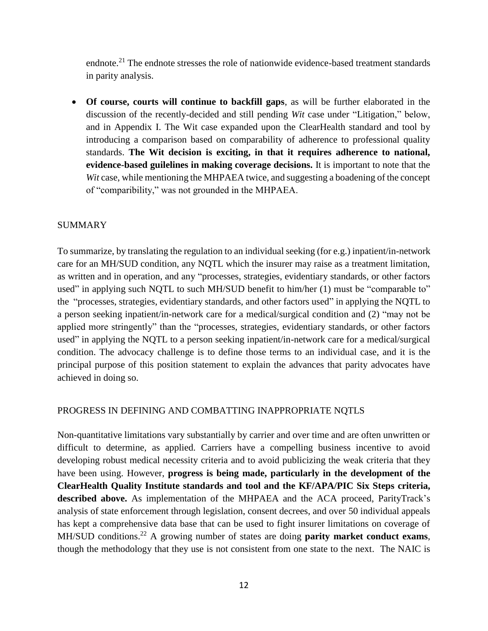endnote.<sup>21</sup> The endnote stresses the role of nationwide evidence-based treatment standards in parity analysis.

• **Of course, courts will continue to backfill gaps**, as will be further elaborated in the discussion of the recently-decided and still pending *Wit* case under "Litigation," below, and in Appendix I. The Wit case expanded upon the ClearHealth standard and tool by introducing a comparison based on comparability of adherence to professional quality standards. **The Wit decision is exciting, in that it requires adherence to national, evidence-based guilelines in making coverage decisions.** It is important to note that the *Wit* case, while mentioning the MHPAEA twice, and suggesting a boadening of the concept of "comparibility," was not grounded in the MHPAEA.

### <span id="page-11-0"></span>SUMMARY

To summarize, by translating the regulation to an individual seeking (for e.g.) inpatient/in-network care for an MH/SUD condition, any NQTL which the insurer may raise as a treatment limitation, as written and in operation, and any "processes, strategies, evidentiary standards, or other factors used" in applying such NQTL to such MH/SUD benefit to him/her (1) must be "comparable to" the "processes, strategies, evidentiary standards, and other factors used" in applying the NQTL to a person seeking inpatient/in-network care for a medical/surgical condition and (2) "may not be applied more stringently" than the "processes, strategies, evidentiary standards, or other factors used" in applying the NQTL to a person seeking inpatient/in-network care for a medical/surgical condition. The advocacy challenge is to define those terms to an individual case, and it is the principal purpose of this position statement to explain the advances that parity advocates have achieved in doing so.

#### <span id="page-11-1"></span>PROGRESS IN DEFINING AND COMBATTING INAPPROPRIATE NQTLS

Non-quantitative limitations vary substantially by carrier and over time and are often unwritten or difficult to determine, as applied. Carriers have a compelling business incentive to avoid developing robust medical necessity criteria and to avoid publicizing the weak criteria that they have been using. However, **progress is being made, particularly in the development of the ClearHealth Quality Institute standards and tool and the KF/APA/PIC Six Steps criteria, described above.** As implementation of the MHPAEA and the ACA proceed, ParityTrack's analysis of state enforcement through legislation, consent decrees, and over 50 individual appeals has kept a comprehensive data base that can be used to fight insurer limitations on coverage of MH/SUD conditions. <sup>22</sup> A growing number of states are doing **parity market conduct exams**, though the methodology that they use is not consistent from one state to the next. The NAIC is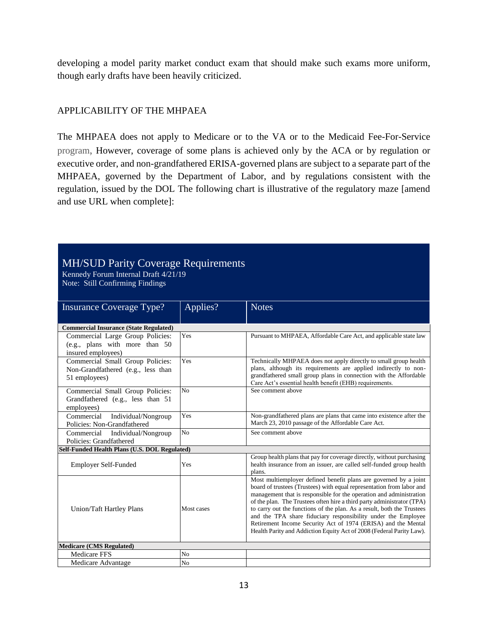developing a model parity market conduct exam that should make such exams more uniform, though early drafts have been heavily criticized.

## <span id="page-12-0"></span>APPLICABILITY OF THE MHPAEA

The MHPAEA does not apply to Medicare or to the VA or to the Medicaid Fee-For-Service program, However, coverage of some plans is achieved only by the ACA or by regulation or executive order, and non-grandfathered ERISA-governed plans are subject to a separate part of the MHPAEA, governed by the Department of Labor, and by regulations consistent with the regulation, issued by the DOL The following chart is illustrative of the regulatory maze [amend and use URL when complete]:

# MH/SUD Parity Coverage Requirements

Kennedy Forum Internal Draft 4/21/19 Note: Still Confirming Findings

| <b>Insurance Coverage Type?</b>                              | Applies?       | <b>Notes</b>                                                                                                                              |  |  |
|--------------------------------------------------------------|----------------|-------------------------------------------------------------------------------------------------------------------------------------------|--|--|
| <b>Commercial Insurance (State Regulated)</b>                |                |                                                                                                                                           |  |  |
| Commercial Large Group Policies:                             | Yes            | Pursuant to MHPAEA, Affordable Care Act, and applicable state law                                                                         |  |  |
| (e.g., plans with more than 50                               |                |                                                                                                                                           |  |  |
| insured employees)                                           |                |                                                                                                                                           |  |  |
| Commercial Small Group Policies:                             | Yes            | Technically MHPAEA does not apply directly to small group health                                                                          |  |  |
| Non-Grandfathered (e.g., less than                           |                | plans, although its requirements are applied indirectly to non-<br>grandfathered small group plans in connection with the Affordable      |  |  |
| 51 employees)                                                |                | Care Act's essential health benefit (EHB) requirements.                                                                                   |  |  |
| Commercial Small Group Policies:                             | N <sub>0</sub> | See comment above                                                                                                                         |  |  |
| Grandfathered (e.g., less than 51)                           |                |                                                                                                                                           |  |  |
| employees)                                                   |                |                                                                                                                                           |  |  |
| Commercial<br>Individual/Nongroup                            | Yes            | Non-grandfathered plans are plans that came into existence after the<br>March 23, 2010 passage of the Affordable Care Act.                |  |  |
| Policies: Non-Grandfathered                                  | No             | See comment above                                                                                                                         |  |  |
| Individual/Nongroup<br>Commercial<br>Policies: Grandfathered |                |                                                                                                                                           |  |  |
| Self-Funded Health Plans (U.S. DOL Regulated)                |                |                                                                                                                                           |  |  |
|                                                              |                | Group health plans that pay for coverage directly, without purchasing                                                                     |  |  |
| Employer Self-Funded                                         | Yes            | health insurance from an issuer, are called self-funded group health                                                                      |  |  |
|                                                              |                | plans.                                                                                                                                    |  |  |
|                                                              |                | Most multiemployer defined benefit plans are governed by a joint<br>board of trustees (Trustees) with equal representation from labor and |  |  |
|                                                              |                | management that is responsible for the operation and administration                                                                       |  |  |
|                                                              |                | of the plan. The Trustees often hire a third party administrator (TPA)                                                                    |  |  |
| Union/Taft Hartley Plans                                     | Most cases     | to carry out the functions of the plan. As a result, both the Trustees                                                                    |  |  |
|                                                              |                | and the TPA share fiduciary responsibility under the Employee<br>Retirement Income Security Act of 1974 (ERISA) and the Mental            |  |  |
|                                                              |                | Health Parity and Addiction Equity Act of 2008 (Federal Parity Law).                                                                      |  |  |
|                                                              |                |                                                                                                                                           |  |  |
| <b>Medicare (CMS Regulated)</b>                              |                |                                                                                                                                           |  |  |
| <b>Medicare FFS</b>                                          | N <sub>0</sub> |                                                                                                                                           |  |  |
| Medicare Advantage                                           | N <sub>o</sub> |                                                                                                                                           |  |  |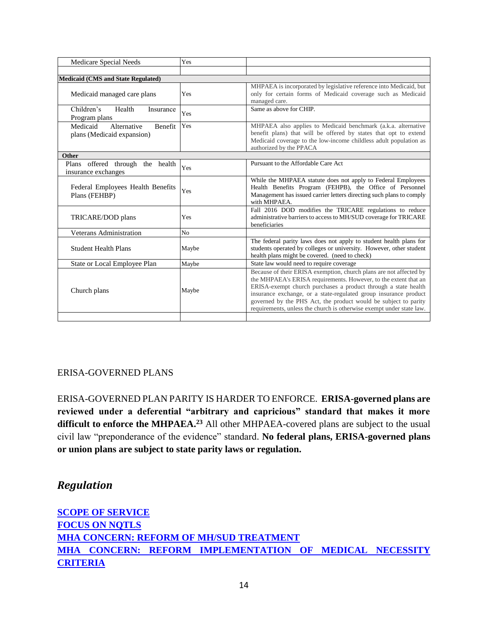| Medicare Special Needs                                           | Yes            |                                                                                                                                                                                                                                                                                                                                                                                                                        |
|------------------------------------------------------------------|----------------|------------------------------------------------------------------------------------------------------------------------------------------------------------------------------------------------------------------------------------------------------------------------------------------------------------------------------------------------------------------------------------------------------------------------|
|                                                                  |                |                                                                                                                                                                                                                                                                                                                                                                                                                        |
| <b>Medicaid (CMS and State Regulated)</b>                        |                |                                                                                                                                                                                                                                                                                                                                                                                                                        |
| Medicaid managed care plans                                      | Yes            | MHPAEA is incorporated by legislative reference into Medicaid, but<br>only for certain forms of Medicaid coverage such as Medicaid<br>managed care.                                                                                                                                                                                                                                                                    |
| Children's<br>Health<br>Insurance<br>Program plans               | Yes            | Same as above for CHIP.                                                                                                                                                                                                                                                                                                                                                                                                |
| Medicaid<br>Alternative<br>Benefit<br>plans (Medicaid expansion) | Yes            | MHPAEA also applies to Medicaid benchmark (a.k.a. alternative<br>benefit plans) that will be offered by states that opt to extend<br>Medicaid coverage to the low-income childless adult population as<br>authorized by the PPACA                                                                                                                                                                                      |
| Other                                                            |                |                                                                                                                                                                                                                                                                                                                                                                                                                        |
| Plans offered through the health<br>insurance exchanges          | Yes            | Pursuant to the Affordable Care Act                                                                                                                                                                                                                                                                                                                                                                                    |
| Federal Employees Health Benefits<br>Plans (FEHBP)               | Yes            | While the MHPAEA statute does not apply to Federal Employees<br>Health Benefits Program (FEHPB), the Office of Personnel<br>Management has issued carrier letters directing such plans to comply<br>with MHPAEA.                                                                                                                                                                                                       |
| TRICARE/DOD plans                                                | Yes            | Fall 2016 DOD modifies the TRICARE regulations to reduce<br>administrative barriers to access to MH/SUD coverage for TRICARE<br>beneficiaries                                                                                                                                                                                                                                                                          |
| <b>Veterans Administration</b>                                   | N <sub>o</sub> |                                                                                                                                                                                                                                                                                                                                                                                                                        |
| <b>Student Health Plans</b>                                      | Maybe          | The federal parity laws does not apply to student health plans for<br>students operated by colleges or university. However, other student<br>health plans might be covered. (need to check)                                                                                                                                                                                                                            |
| State or Local Employee Plan                                     | Maybe          | State law would need to require coverage                                                                                                                                                                                                                                                                                                                                                                               |
| Church plans                                                     | Maybe          | Because of their ERISA exemption, church plans are not affected by<br>the MHPAEA's ERISA requirements. However, to the extent that an<br>ERISA-exempt church purchases a product through a state health<br>insurance exchange, or a state-regulated group insurance product<br>governed by the PHS Act, the product would be subject to parity<br>requirements, unless the church is otherwise exempt under state law. |
|                                                                  |                |                                                                                                                                                                                                                                                                                                                                                                                                                        |

# <span id="page-13-1"></span>ERISA-GOVERNED PLANS

ERISA-GOVERNED PLAN PARITY IS HARDER TO ENFORCE. **ERISA-governed plans are reviewed under a deferential "arbitrary and capricious" standard that makes it more difficult to enforce the MHPAEA. <sup>23</sup>** All other MHPAEA-covered plans are subject to the usual civil law "preponderance of the evidence" standard. **No federal plans, ERISA-governed plans or union plans are subject to state parity laws or regulation.** 

# <span id="page-13-0"></span>*Regulation*

**[SCOPE OF SERVICE](#page-14-0) [FOCUS ON NQTLS](#page-15-0) [MHA CONCERN: REFORM OF MH/SUD TREATMENT](#page-15-1) [MHA CONCERN: REFORM IMPLEMENTATION OF MEDICAL NECESSITY](#page-16-0)  [CRITERIA](#page-16-0)**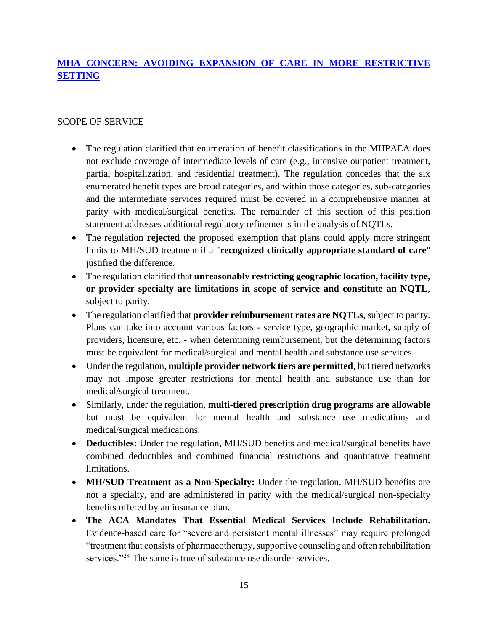# **[MHA CONCERN: AVOIDING EXPANSION OF CARE IN MORE RESTRICTIVE](#page-16-1)  [SETTING](#page-16-1)**

## <span id="page-14-0"></span>SCOPE OF SERVICE

- The regulation clarified that enumeration of benefit classifications in the MHPAEA does not exclude coverage of intermediate levels of care (e.g., intensive outpatient treatment, partial hospitalization, and residential treatment). The regulation concedes that the six enumerated benefit types are broad categories, and within those categories, sub-categories and the intermediate services required must be covered in a comprehensive manner at parity with medical/surgical benefits. The remainder of this section of this position statement addresses additional regulatory refinements in the analysis of NQTLs.
- The regulation **rejected** the proposed exemption that plans could apply more stringent limits to MH/SUD treatment if a "**recognized clinically appropriate standard of care**" justified the difference.
- The regulation clarified that **unreasonably restricting geographic location, facility type, or provider specialty are limitations in scope of service and constitute an NQTL**, subject to parity.
- The regulation clarified that **provider reimbursement rates are NQTLs**, subject to parity. Plans can take into account various factors - service type, geographic market, supply of providers, licensure, etc. - when determining reimbursement, but the determining factors must be equivalent for medical/surgical and mental health and substance use services.
- Under the regulation, **multiple provider network tiers are permitted**, but tiered networks may not impose greater restrictions for mental health and substance use than for medical/surgical treatment.
- Similarly, under the regulation, **multi-tiered prescription drug programs are allowable** but must be equivalent for mental health and substance use medications and medical/surgical medications.
- **Deductibles:** Under the regulation, MH/SUD benefits and medical/surgical benefits have combined deductibles and combined financial restrictions and quantitative treatment limitations.
- **MH/SUD Treatment as a Non-Specialty:** Under the regulation, MH/SUD benefits are not a specialty, and are administered in parity with the medical/surgical non-specialty benefits offered by an insurance plan.
- **The ACA Mandates That Essential Medical Services Include Rehabilitation.** Evidence-based care for "severe and persistent mental illnesses" may require prolonged "treatment that consists of pharmacotherapy, supportive counseling and often rehabilitation services."<sup>24</sup> The same is true of substance use disorder services.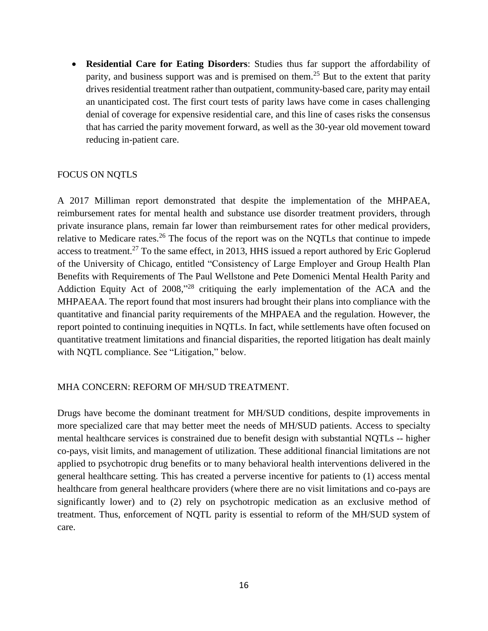• **Residential Care for Eating Disorders**: Studies thus far support the affordability of parity, and business support was and is premised on them.<sup>25</sup> But to the extent that parity drives residential treatment rather than outpatient, community-based care, parity may entail an unanticipated cost. The first court tests of parity laws have come in cases challenging denial of coverage for expensive residential care, and this line of cases risks the consensus that has carried the parity movement forward, as well as the 30-year old movement toward reducing in-patient care.

#### <span id="page-15-0"></span>FOCUS ON NQTLS

A 2017 Milliman report demonstrated that despite the implementation of the MHPAEA, reimbursement rates for mental health and substance use disorder treatment providers, through private insurance plans, remain far lower than reimbursement rates for other medical providers, relative to Medicare rates.<sup>26</sup> The focus of the report was on the NQTLs that continue to impede access to treatment.<sup>27</sup> To the same effect, in 2013, HHS issued a report authored by Eric Goplerud of the University of Chicago, entitled "Consistency of Large Employer and Group Health Plan Benefits with Requirements of The Paul Wellstone and Pete Domenici Mental Health Parity and Addiction Equity Act of 2008,"<sup>28</sup> critiquing the early implementation of the ACA and the MHPAEAA. The report found that most insurers had brought their plans into compliance with the quantitative and financial parity requirements of the MHPAEA and the regulation. However, the report pointed to continuing inequities in NQTLs. In fact, while settlements have often focused on quantitative treatment limitations and financial disparities, the reported litigation has dealt mainly with NQTL compliance. See "Litigation," below.

#### <span id="page-15-1"></span>MHA CONCERN: REFORM OF MH/SUD TREATMENT.

Drugs have become the dominant treatment for MH/SUD conditions, despite improvements in more specialized care that may better meet the needs of MH/SUD patients. Access to specialty mental healthcare services is constrained due to benefit design with substantial NQTLs -- higher co-pays, visit limits, and management of utilization. These additional financial limitations are not applied to psychotropic drug benefits or to many behavioral health interventions delivered in the general healthcare setting. This has created a perverse incentive for patients to (1) access mental healthcare from general healthcare providers (where there are no visit limitations and co-pays are significantly lower) and to (2) rely on psychotropic medication as an exclusive method of treatment. Thus, enforcement of NQTL parity is essential to reform of the MH/SUD system of care.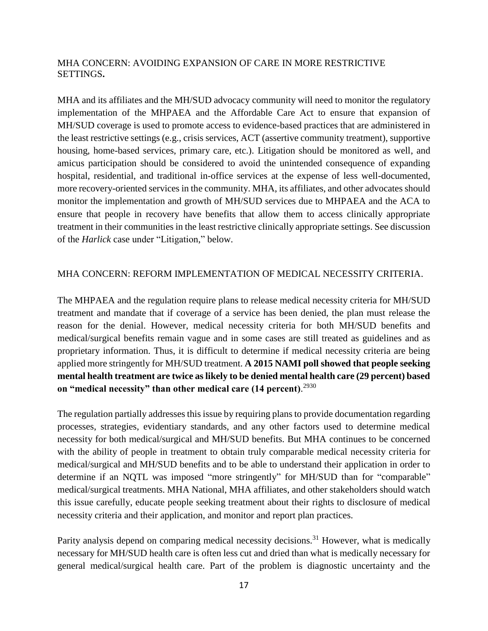### <span id="page-16-1"></span>MHA CONCERN: AVOIDING EXPANSION OF CARE IN MORE RESTRICTIVE SETTINGS**.**

MHA and its affiliates and the MH/SUD advocacy community will need to monitor the regulatory implementation of the MHPAEA and the Affordable Care Act to ensure that expansion of MH/SUD coverage is used to promote access to evidence-based practices that are administered in the least restrictive settings (e.g., crisis services, ACT (assertive community treatment), supportive housing, home-based services, primary care, etc.). Litigation should be monitored as well, and amicus participation should be considered to avoid the unintended consequence of expanding hospital, residential, and traditional in-office services at the expense of less well-documented, more recovery-oriented services in the community. MHA, its affiliates, and other advocates should monitor the implementation and growth of MH/SUD services due to MHPAEA and the ACA to ensure that people in recovery have benefits that allow them to access clinically appropriate treatment in their communities in the least restrictive clinically appropriate settings. See discussion of the *Harlick* case under "Litigation," below.

#### <span id="page-16-0"></span>MHA CONCERN: REFORM IMPLEMENTATION OF MEDICAL NECESSITY CRITERIA.

The MHPAEA and the regulation require plans to release medical necessity criteria for MH/SUD treatment and mandate that if coverage of a service has been denied, the plan must release the reason for the denial. However, medical necessity criteria for both MH/SUD benefits and medical/surgical benefits remain vague and in some cases are still treated as guidelines and as proprietary information. Thus, it is difficult to determine if medical necessity criteria are being applied more stringently for MH/SUD treatment. **A 2015 NAMI poll showed that people seeking mental health treatment are twice as likely to be denied mental health care (29 percent) based on "medical necessity" than other medical care (14 percent)**. 2930

The regulation partially addresses this issue by requiring plans to provide documentation regarding processes, strategies, evidentiary standards, and any other factors used to determine medical necessity for both medical/surgical and MH/SUD benefits. But MHA continues to be concerned with the ability of people in treatment to obtain truly comparable medical necessity criteria for medical/surgical and MH/SUD benefits and to be able to understand their application in order to determine if an NQTL was imposed "more stringently" for MH/SUD than for "comparable" medical/surgical treatments. MHA National, MHA affiliates, and other stakeholders should watch this issue carefully, educate people seeking treatment about their rights to disclosure of medical necessity criteria and their application, and monitor and report plan practices.

Parity analysis depend on comparing medical necessity decisions.<sup>31</sup> However, what is medically necessary for MH/SUD health care is often less cut and dried than what is medically necessary for general medical/surgical health care. Part of the problem is diagnostic uncertainty and the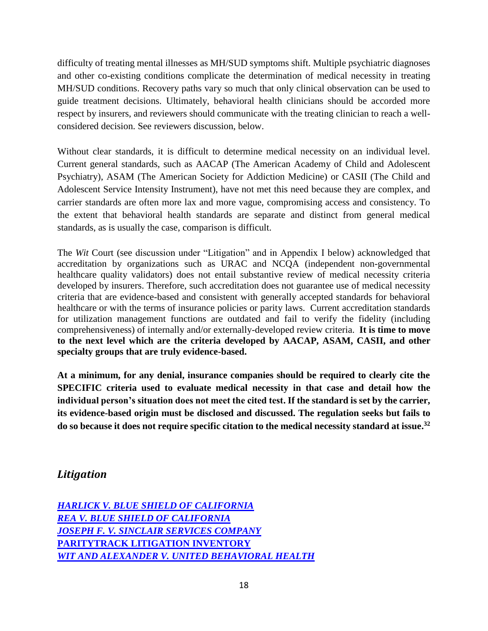difficulty of treating mental illnesses as MH/SUD symptoms shift. Multiple psychiatric diagnoses and other co-existing conditions complicate the determination of medical necessity in treating MH/SUD conditions. Recovery paths vary so much that only clinical observation can be used to guide treatment decisions. Ultimately, behavioral health clinicians should be accorded more respect by insurers, and reviewers should communicate with the treating clinician to reach a wellconsidered decision. See reviewers discussion, below.

Without clear standards, it is difficult to determine medical necessity on an individual level. Current general standards, such as AACAP (The American Academy of Child and Adolescent Psychiatry), ASAM (The American Society for Addiction Medicine) or CASII (The Child and Adolescent Service Intensity Instrument), have not met this need because they are complex, and carrier standards are often more lax and more vague, compromising access and consistency. To the extent that behavioral health standards are separate and distinct from general medical standards, as is usually the case, comparison is difficult.

The *Wit* Court (see discussion under "Litigation" and in Appendix I below) acknowledged that accreditation by organizations such as URAC and NCQA (independent non-governmental healthcare quality validators) does not entail substantive review of medical necessity criteria developed by insurers. Therefore, such accreditation does not guarantee use of medical necessity criteria that are evidence-based and consistent with generally accepted standards for behavioral healthcare or with the terms of insurance policies or parity laws. Current accreditation standards for utilization management functions are outdated and fail to verify the fidelity (including comprehensiveness) of internally and/or externally-developed review criteria. **It is time to move to the next level which are the criteria developed by AACAP, ASAM, CASII, and other specialty groups that are truly evidence-based.**

**At a minimum, for any denial, insurance companies should be required to clearly cite the SPECIFIC criteria used to evaluate medical necessity in that case and detail how the individual person's situation does not meet the cited test. If the standard is set by the carrier, its evidence-based origin must be disclosed and discussed. The regulation seeks but fails to do so because it does not require specific citation to the medical necessity standard at issue. 32**

# <span id="page-17-0"></span>*Litigation*

| <b>HARLICK V. BLUE SHIELD OF CALIFORNIA</b>   |  |
|-----------------------------------------------|--|
| <b>REA V. BLUE SHIELD OF CALIFORNIA</b>       |  |
| JOSEPH F. V. SINCLAIR SERVICES COMPANY        |  |
| <b>PARITYTRACK LITIGATION INVENTORY</b>       |  |
| WIT AND ALEXANDER V. UNITED BEHAVIORAL HEALTH |  |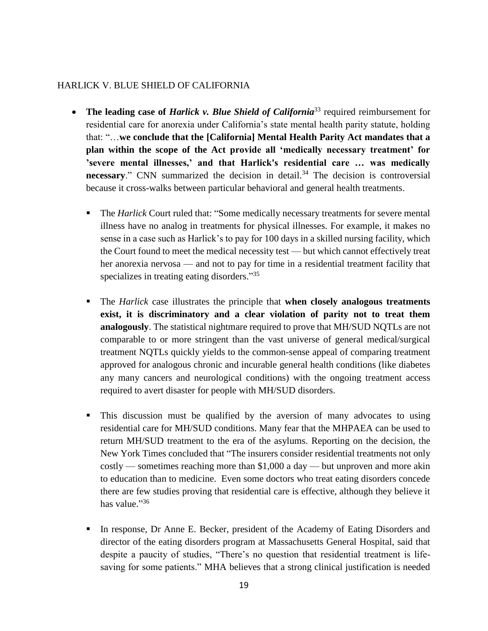### <span id="page-18-0"></span>HARLICK V. BLUE SHIELD OF CALIFORNIA

- **The leading case of** *Harlick v. Blue Shield of California*<sup>33</sup> required reimbursement for residential care for anorexia under California's state mental health parity statute, holding that: "…**we conclude that the [California] Mental Health Parity Act mandates that a plan within the scope of the Act provide all 'medically necessary treatment' for 'severe mental illnesses,' and that Harlick's residential care … was medically necessary.**" CNN summarized the decision in detail.<sup>34</sup> The decision is controversial because it cross-walks between particular behavioral and general health treatments.
	- The *Harlick* Court ruled that: "Some medically necessary treatments for severe mental illness have no analog in treatments for physical illnesses. For example, it makes no sense in a case such as Harlick's to pay for 100 days in a skilled nursing facility, which the Court found to meet the medical necessity test — but which cannot effectively treat her anorexia nervosa — and not to pay for time in a residential treatment facility that specializes in treating eating disorders."35
	- The *Harlick* case illustrates the principle that **when closely analogous treatments exist, it is discriminatory and a clear violation of parity not to treat them analogously**. The statistical nightmare required to prove that MH/SUD NQTLs are not comparable to or more stringent than the vast universe of general medical/surgical treatment NQTLs quickly yields to the common-sense appeal of comparing treatment approved for analogous chronic and incurable general health conditions (like diabetes any many cancers and neurological conditions) with the ongoing treatment access required to avert disaster for people with MH/SUD disorders.
	- This discussion must be qualified by the aversion of many advocates to using residential care for MH/SUD conditions. Many fear that the MHPAEA can be used to return MH/SUD treatment to the era of the asylums. Reporting on the decision, the New York Times concluded that "The insurers consider residential treatments not only costly — sometimes reaching more than \$1,000 a day — but unproven and more akin to education than to medicine. Even some doctors who treat eating disorders concede there are few studies proving that residential care is effective, although they believe it has value."<sup>36</sup>
	- In response, Dr Anne E. Becker, president of the Academy of Eating Disorders and director of the eating disorders program at Massachusetts General Hospital, said that despite a paucity of studies, "There's no question that residential treatment is lifesaving for some patients." MHA believes that a strong clinical justification is needed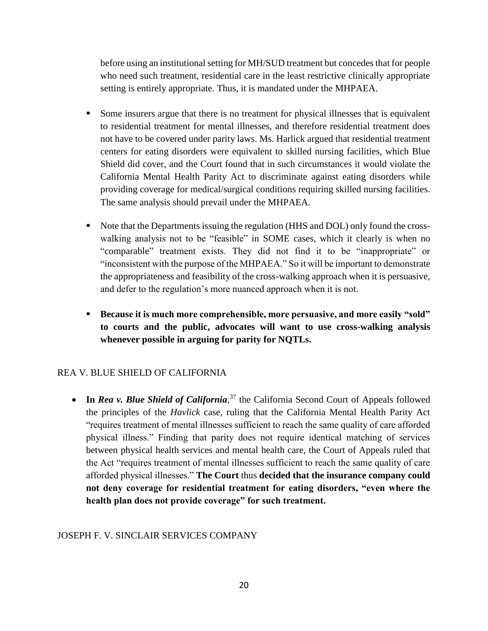before using an institutional setting for MH/SUD treatment but concedes that for people who need such treatment, residential care in the least restrictive clinically appropriate setting is entirely appropriate. Thus, it is mandated under the MHPAEA.

- Some insurers argue that there is no treatment for physical illnesses that is equivalent to residential treatment for mental illnesses, and therefore residential treatment does not have to be covered under parity laws. Ms. Harlick argued that residential treatment centers for eating disorders were equivalent to skilled nursing facilities, which Blue Shield did cover, and the Court found that in such circumstances it would violate the California Mental Health Parity Act to discriminate against eating disorders while providing coverage for medical/surgical conditions requiring skilled nursing facilities. The same analysis should prevail under the MHPAEA.
- Note that the Departments issuing the regulation (HHS and DOL) only found the crosswalking analysis not to be "feasible" in SOME cases, which it clearly is when no "comparable" treatment exists. They did not find it to be "inappropriate" or "inconsistent with the purpose of the MHPAEA." So it will be important to demonstrate the appropriateness and feasibility of the cross-walking approach when it is persuasive, and defer to the regulation's more nuanced approach when it is not.
- **Because it is much more comprehensible, more persuasive, and more easily "sold" to courts and the public, advocates will want to use cross-walking analysis whenever possible in arguing for parity for NQTLs.**

# <span id="page-19-0"></span>REA V. BLUE SHIELD OF CALIFORNIA

• In *Rea v. Blue Shield of California*,<sup>37</sup> the California Second Court of Appeals followed the principles of the *Havlick* case, ruling that the California Mental Health Parity Act "requires treatment of mental illnesses sufficient to reach the same quality of care afforded physical illness." Finding that parity does not require identical matching of services between physical health services and mental health care, the Court of Appeals ruled that the Act "requires treatment of mental illnesses sufficient to reach the same quality of care afforded physical illnesses." **The Court** thus **decided that the insurance company could not deny coverage for residential treatment for eating disorders, "even where the health plan does not provide coverage" for such treatment.**

# <span id="page-19-1"></span>JOSEPH F. V. SINCLAIR SERVICES COMPANY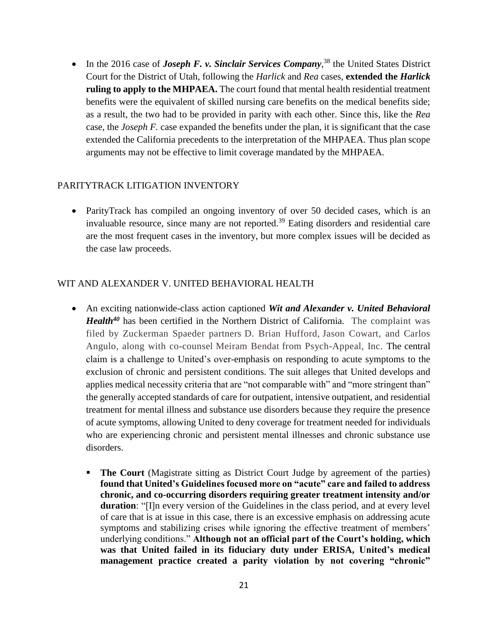• In the 2016 case of *Joseph F. v. Sinclair Services Company*<sup>38</sup>, the United States District Court for the District of Utah, following the *Harlick* and *Rea* cases, **extended the** *Harlick*  **ruling to apply to the MHPAEA.** The court found that mental health residential treatment benefits were the equivalent of skilled nursing care benefits on the medical benefits side; as a result, the two had to be provided in parity with each other. Since this, like the *Rea* case, the *Joseph F.* case expanded the benefits under the plan, it is significant that the case extended the California precedents to the interpretation of the MHPAEA. Thus plan scope arguments may not be effective to limit coverage mandated by the MHPAEA.

### <span id="page-20-0"></span>PARITYTRACK LITIGATION INVENTORY

• ParityTrack has compiled an ongoing inventory of over 50 decided cases, which is an invaluable resource, since many are not reported.<sup>39</sup> Eating disorders and residential care are the most frequent cases in the inventory, but more complex issues will be decided as the case law proceeds.

### <span id="page-20-1"></span>WIT AND ALEXANDER V. UNITED BEHAVIORAL HEALTH

- An exciting nationwide-class action captioned *Wit and Alexander v. United Behavioral Health<sup>40</sup>* has been certified in the Northern District of California. The complaint was filed by Zuckerman Spaeder partners D. Brian [Hufford,](http://www.zuckerman.com/d-brian-hufford) Jason [Cowart,](http://www.zuckerman.com/jason-cowart) and Carlos Angulo, along with co-counsel [Meiram](http://www.psych-appeal.com/meiram-bendat/) Bendat from Psych-Appeal, Inc. The central claim is a challenge to United's over-emphasis on responding to acute symptoms to the exclusion of chronic and persistent conditions. The suit alleges that United develops and applies medical necessity criteria that are "not comparable with" and "more stringent than" the generally accepted standards of care for outpatient, intensive outpatient, and residential treatment for mental illness and substance use disorders because they require the presence of acute symptoms, allowing United to deny coverage for treatment needed for individuals who are experiencing chronic and persistent mental illnesses and chronic substance use disorders.
	- **The Court** (Magistrate sitting as District Court Judge by agreement of the parties) **found that United's Guidelines focused more on "acute" care and failed to address chronic, and co-occurring disorders requiring greater treatment intensity and/or duration**: "[I]n every version of the Guidelines in the class period, and at every level of care that is at issue in this case, there is an excessive emphasis on addressing acute symptoms and stabilizing crises while ignoring the effective treatment of members' underlying conditions." **Although not an official part of the Court's holding, which was that United failed in its fiduciary duty under ERISA, United's medical management practice created a parity violation by not covering "chronic"**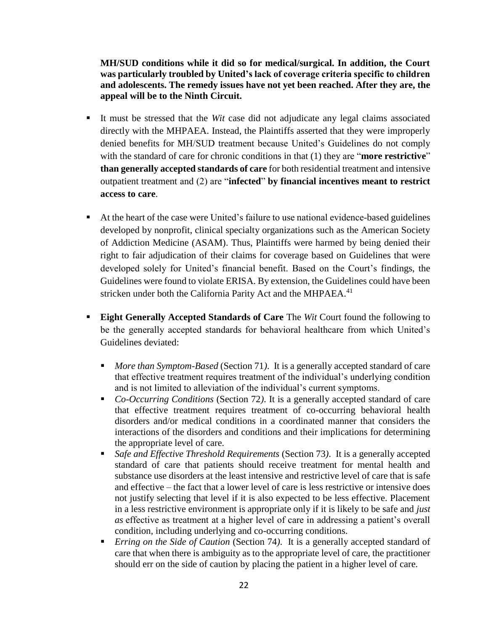**MH/SUD conditions while it did so for medical/surgical. In addition, the Court was particularly troubled by United's lack of coverage criteria specific to children and adolescents. The remedy issues have not yet been reached. After they are, the appeal will be to the Ninth Circuit.**

- It must be stressed that the *Wit* case did not adjudicate any legal claims associated directly with the MHPAEA. Instead, the Plaintiffs asserted that they were improperly denied benefits for MH/SUD treatment because United's Guidelines do not comply with the standard of care for chronic conditions in that (1) they are "**more restrictive**" **than generally accepted standards of care** for both residential treatment and intensive outpatient treatment and (2) are "**infected**" **by financial incentives meant to restrict access to care**.
- At the heart of the case were United's failure to use national evidence-based guidelines developed by nonprofit, clinical specialty organizations such as the American Society of Addiction Medicine (ASAM). Thus, Plaintiffs were harmed by being denied their right to fair adjudication of their claims for coverage based on Guidelines that were developed solely for United's financial benefit. Based on the Court's findings, the Guidelines were found to violate ERISA. By extension, the Guidelines could have been stricken under both the California Parity Act and the MHPAEA.<sup>41</sup>
- **Eight Generally Accepted Standards of Care** The *Wit* Court found the following to be the generally accepted standards for behavioral healthcare from which United's Guidelines deviated:
	- *More than Symptom-Based* (Section 71). It is a generally accepted standard of care that effective treatment requires treatment of the individual's underlying condition and is not limited to alleviation of the individual's current symptoms.
	- *Co-Occurring Conditions* (Section 72). It is a generally accepted standard of care that effective treatment requires treatment of co-occurring behavioral health disorders and/or medical conditions in a coordinated manner that considers the interactions of the disorders and conditions and their implications for determining the appropriate level of care.
	- *Safe and Effective Threshold Requirements* (Section 73). It is a generally accepted standard of care that patients should receive treatment for mental health and substance use disorders at the least intensive and restrictive level of care that is safe and effective – the fact that a lower level of care is less restrictive or intensive does not justify selecting that level if it is also expected to be less effective. Placement in a less restrictive environment is appropriate only if it is likely to be safe and *just as* effective as treatment at a higher level of care in addressing a patient's overall condition, including underlying and co-occurring conditions.
	- *Erring on the Side of Caution* (Section 74). It is a generally accepted standard of care that when there is ambiguity as to the appropriate level of care, the practitioner should err on the side of caution by placing the patient in a higher level of care.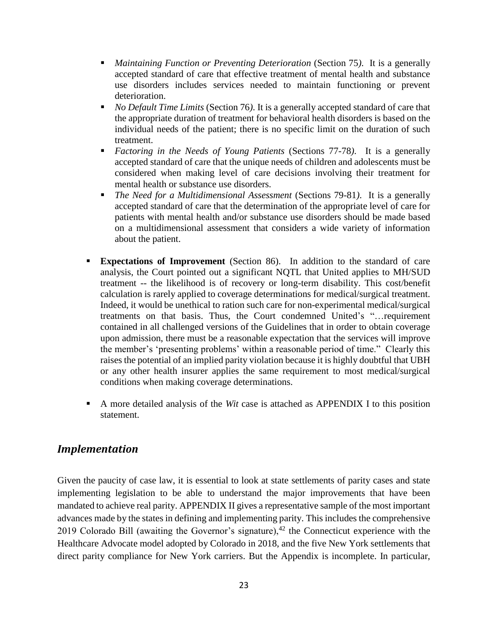- *Maintaining Function or Preventing Deterioration* (Section 75). It is a generally accepted standard of care that effective treatment of mental health and substance use disorders includes services needed to maintain functioning or prevent deterioration.
- *No Default Time Limits* (Section 76). It is a generally accepted standard of care that the appropriate duration of treatment for behavioral health disorders is based on the individual needs of the patient; there is no specific limit on the duration of such treatment.
- *Factoring in the Needs of Young Patients* (Sections 77-78). It is a generally accepted standard of care that the unique needs of children and adolescents must be considered when making level of care decisions involving their treatment for mental health or substance use disorders.
- *The Need for a Multidimensional Assessment* (Sections 79-81). It is a generally accepted standard of care that the determination of the appropriate level of care for patients with mental health and/or substance use disorders should be made based on a multidimensional assessment that considers a wide variety of information about the patient.
- **Expectations of Improvement** (Section 86).In addition to the standard of care analysis, the Court pointed out a significant NQTL that United applies to MH/SUD treatment -- the likelihood is of recovery or long-term disability. This cost/benefit calculation is rarely applied to coverage determinations for medical/surgical treatment. Indeed, it would be unethical to ration such care for non-experimental medical/surgical treatments on that basis. Thus, the Court condemned United's "…requirement contained in all challenged versions of the Guidelines that in order to obtain coverage upon admission, there must be a reasonable expectation that the services will improve the member's 'presenting problems' within a reasonable period of time." Clearly this raises the potential of an implied parity violation because it is highly doubtful that UBH or any other health insurer applies the same requirement to most medical/surgical conditions when making coverage determinations.
- A more detailed analysis of the *Wit* case is attached as APPENDIX I to this position statement.

# <span id="page-22-0"></span>*Implementation*

Given the paucity of case law, it is essential to look at state settlements of parity cases and state implementing legislation to be able to understand the major improvements that have been mandated to achieve real parity. APPENDIX II gives a representative sample of the most important advances made by the states in defining and implementing parity. This includes the comprehensive 2019 Colorado Bill (awaiting the Governor's signature), $42$  the Connecticut experience with the Healthcare Advocate model adopted by Colorado in 2018, and the five New York settlements that direct parity compliance for New York carriers. But the Appendix is incomplete. In particular,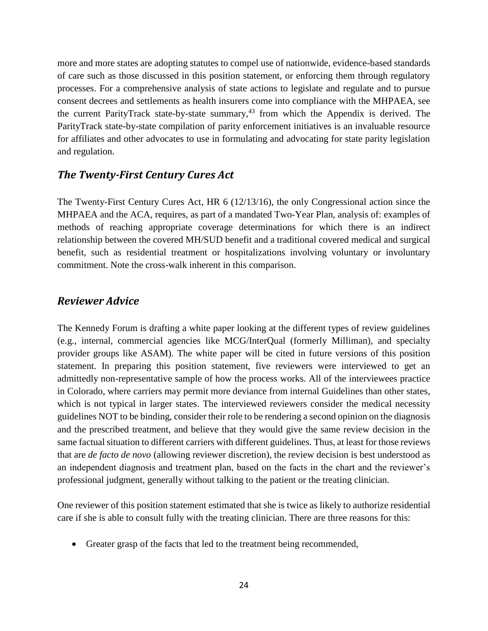more and more states are adopting statutes to compel use of nationwide, evidence-based standards of care such as those discussed in this position statement, or enforcing them through regulatory processes. For a comprehensive analysis of state actions to legislate and regulate and to pursue consent decrees and settlements as health insurers come into compliance with the MHPAEA, see the current ParityTrack state-by-state summary, $43$  from which the Appendix is derived. The ParityTrack state-by-state compilation of parity enforcement initiatives is an invaluable resource for affiliates and other advocates to use in formulating and advocating for state parity legislation and regulation.

# <span id="page-23-0"></span>*The Twenty-First Century Cures Act*

The Twenty-First Century Cures Act, HR 6 (12/13/16), the only Congressional action since the MHPAEA and the ACA, requires, as part of a mandated Two-Year Plan, analysis of: examples of methods of reaching appropriate coverage determinations for which there is an indirect relationship between the covered MH/SUD benefit and a traditional covered medical and surgical benefit, such as residential treatment or hospitalizations involving voluntary or involuntary commitment. Note the cross-walk inherent in this comparison.

# <span id="page-23-1"></span>*Reviewer Advice*

The Kennedy Forum is drafting a white paper looking at the different types of review guidelines (e.g., internal, commercial agencies like MCG/InterQual (formerly Milliman), and specialty provider groups like ASAM). The white paper will be cited in future versions of this position statement. In preparing this position statement, five reviewers were interviewed to get an admittedly non-representative sample of how the process works. All of the interviewees practice in Colorado, where carriers may permit more deviance from internal Guidelines than other states, which is not typical in larger states. The interviewed reviewers consider the medical necessity guidelines NOT to be binding, consider their role to be rendering a second opinion on the diagnosis and the prescribed treatment, and believe that they would give the same review decision in the same factual situation to different carriers with different guidelines. Thus, at least for those reviews that are *de facto de novo* (allowing reviewer discretion), the review decision is best understood as an independent diagnosis and treatment plan, based on the facts in the chart and the reviewer's professional judgment, generally without talking to the patient or the treating clinician.

One reviewer of this position statement estimated that she is twice as likely to authorize residential care if she is able to consult fully with the treating clinician. There are three reasons for this:

• Greater grasp of the facts that led to the treatment being recommended,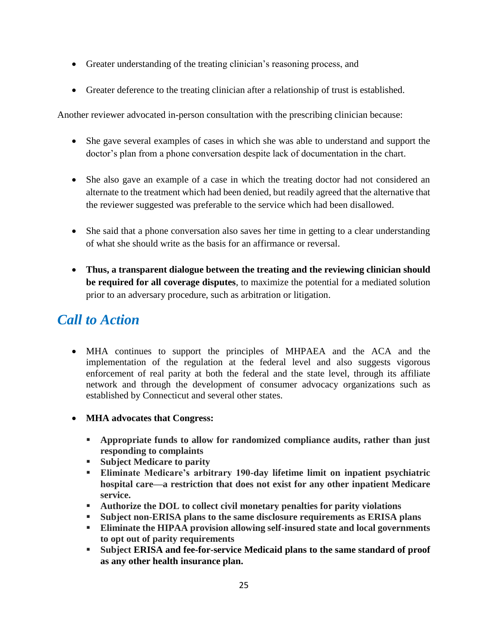- Greater understanding of the treating clinician's reasoning process, and
- Greater deference to the treating clinician after a relationship of trust is established.

Another reviewer advocated in-person consultation with the prescribing clinician because:

- She gave several examples of cases in which she was able to understand and support the doctor's plan from a phone conversation despite lack of documentation in the chart.
- She also gave an example of a case in which the treating doctor had not considered an alternate to the treatment which had been denied, but readily agreed that the alternative that the reviewer suggested was preferable to the service which had been disallowed.
- She said that a phone conversation also saves her time in getting to a clear understanding of what she should write as the basis for an affirmance or reversal.
- **Thus, a transparent dialogue between the treating and the reviewing clinician should be required for all coverage disputes**, to maximize the potential for a mediated solution prior to an adversary procedure, such as arbitration or litigation.

# <span id="page-24-0"></span>*Call to Action*

- MHA continues to support the principles of MHPAEA and the ACA and the implementation of the regulation at the federal level and also suggests vigorous enforcement of real parity at both the federal and the state level, through its affiliate network and through the development of consumer advocacy organizations such as established by Connecticut and several other states.
- **MHA advocates that Congress:**
	- **Appropriate funds to allow for randomized compliance audits, rather than just responding to complaints**
	- Subject Medicare to parity
	- **Eliminate Medicare's arbitrary 190-day lifetime limit on inpatient psychiatric hospital care—a restriction that does not exist for any other inpatient Medicare service.**
	- **Authorize the DOL to collect civil monetary penalties for parity violations**
	- **Subject non-ERISA plans to the same disclosure requirements as ERISA plans**
	- **Eliminate the HIPAA provision allowing self-insured state and local governments to opt out of parity requirements**
	- **Subject ERISA and fee-for-service Medicaid plans to the same standard of proof as any other health insurance plan.**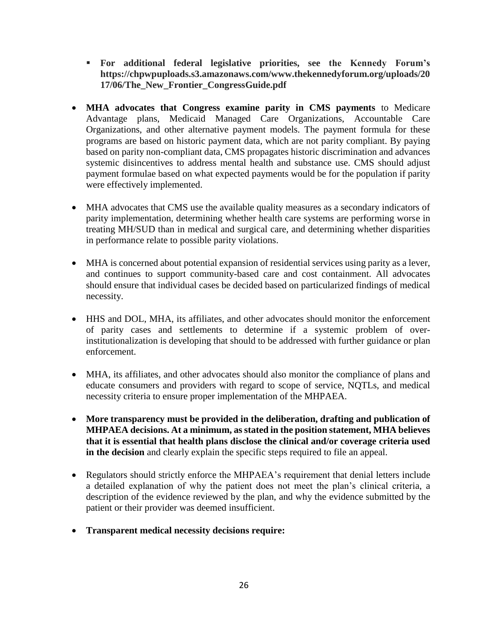- **For additional federal legislative priorities, see the Kennedy Forum's https://chpwpuploads.s3.amazonaws.com/www.thekennedyforum.org/uploads/20 17/06/The\_New\_Frontier\_CongressGuide.pdf**
- **MHA advocates that Congress examine parity in CMS payments** to Medicare Advantage plans, Medicaid Managed Care Organizations, Accountable Care Organizations, and other alternative payment models. The payment formula for these programs are based on historic payment data, which are not parity compliant. By paying based on parity non-compliant data, CMS propagates historic discrimination and advances systemic disincentives to address mental health and substance use. CMS should adjust payment formulae based on what expected payments would be for the population if parity were effectively implemented.
- MHA advocates that CMS use the available quality measures as a secondary indicators of parity implementation, determining whether health care systems are performing worse in treating MH/SUD than in medical and surgical care, and determining whether disparities in performance relate to possible parity violations.
- MHA is concerned about potential expansion of residential services using parity as a lever, and continues to support community-based care and cost containment. All advocates should ensure that individual cases be decided based on particularized findings of medical necessity.
- HHS and DOL, MHA, its affiliates, and other advocates should monitor the enforcement of parity cases and settlements to determine if a systemic problem of overinstitutionalization is developing that should to be addressed with further guidance or plan enforcement.
- MHA, its affiliates, and other advocates should also monitor the compliance of plans and educate consumers and providers with regard to scope of service, NQTLs, and medical necessity criteria to ensure proper implementation of the MHPAEA.
- **More transparency must be provided in the deliberation, drafting and publication of MHPAEA decisions. At a minimum, as stated in the position statement, MHA believes that it is essential that health plans disclose the clinical and/or coverage criteria used in the decision** and clearly explain the specific steps required to file an appeal.
- Regulators should strictly enforce the MHPAEA's requirement that denial letters include a detailed explanation of why the patient does not meet the plan's clinical criteria, a description of the evidence reviewed by the plan, and why the evidence submitted by the patient or their provider was deemed insufficient.
- **Transparent medical necessity decisions require:**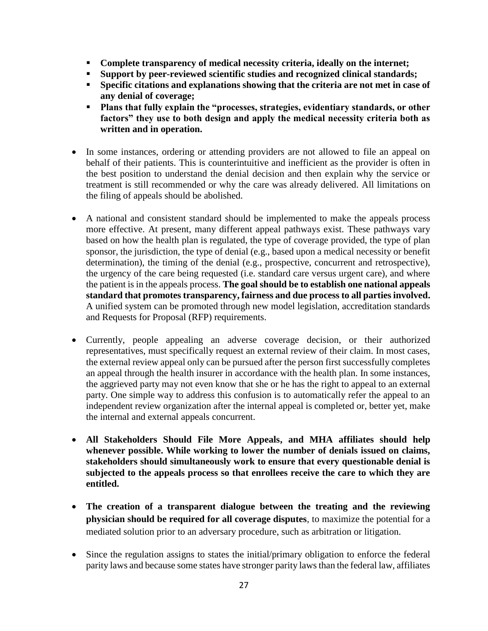- **Complete transparency of medical necessity criteria, ideally on the internet;**
- **Support by peer-reviewed scientific studies and recognized clinical standards;**
- Specific citations and explanations showing that the criteria are not met in case of **any denial of coverage;**
- **Plans that fully explain the "processes, strategies, evidentiary standards, or other factors" they use to both design and apply the medical necessity criteria both as written and in operation.**
- In some instances, ordering or attending providers are not allowed to file an appeal on behalf of their patients. This is counterintuitive and inefficient as the provider is often in the best position to understand the denial decision and then explain why the service or treatment is still recommended or why the care was already delivered. All limitations on the filing of appeals should be abolished.
- A national and consistent standard should be implemented to make the appeals process more effective. At present, many different appeal pathways exist. These pathways vary based on how the health plan is regulated, the type of coverage provided, the type of plan sponsor, the jurisdiction, the type of denial (e.g., based upon a medical necessity or benefit determination), the timing of the denial (e.g., prospective, concurrent and retrospective), the urgency of the care being requested (i.e. standard care versus urgent care), and where the patient is in the appeals process. **The goal should be to establish one national appeals standard that promotes transparency, fairness and due process to all parties involved.** A unified system can be promoted through new model legislation, accreditation standards and Requests for Proposal (RFP) requirements.
- Currently, people appealing an adverse coverage decision, or their authorized representatives, must specifically request an external review of their claim. In most cases, the external review appeal only can be pursued after the person first successfully completes an appeal through the health insurer in accordance with the health plan. In some instances, the aggrieved party may not even know that she or he has the right to appeal to an external party. One simple way to address this confusion is to automatically refer the appeal to an independent review organization after the internal appeal is completed or, better yet, make the internal and external appeals concurrent.
- **All Stakeholders Should File More Appeals, and MHA affiliates should help**  whenever possible. While working to lower the number of denials issued on claims, **stakeholders should simultaneously work to ensure that every questionable denial is subjected to the appeals process so that enrollees receive the care to which they are entitled.**
- **The creation of a transparent dialogue between the treating and the reviewing physician should be required for all coverage disputes**, to maximize the potential for a mediated solution prior to an adversary procedure, such as arbitration or litigation.
- Since the regulation assigns to states the initial/primary obligation to enforce the federal parity laws and because some states have stronger parity laws than the federal law, affiliates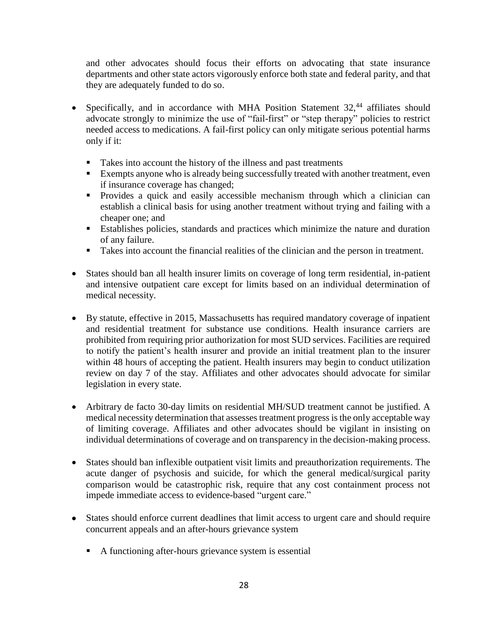and other advocates should focus their efforts on advocating that state insurance departments and other state actors vigorously enforce both state and federal parity, and that they are adequately funded to do so.

- Specifically, and in accordance with MHA Position Statement  $32<sup>44</sup>$  affiliates should advocate strongly to minimize the use of "fail-first" or "step therapy" policies to restrict needed access to medications. A fail-first policy can only mitigate serious potential harms only if it:
	- Takes into account the history of the illness and past treatments
	- **Exempts anyone who is already being successfully treated with another treatment, even** if insurance coverage has changed;
	- Provides a quick and easily accessible mechanism through which a clinician can establish a clinical basis for using another treatment without trying and failing with a cheaper one; and
	- Establishes policies, standards and practices which minimize the nature and duration of any failure.
	- Takes into account the financial realities of the clinician and the person in treatment.
- States should ban all health insurer limits on coverage of long term residential, in-patient and intensive outpatient care except for limits based on an individual determination of medical necessity.
- By statute, effective in 2015, Massachusetts has required mandatory coverage of inpatient and residential treatment for substance use conditions. Health insurance carriers are prohibited from requiring prior authorization for most SUD services. Facilities are required to notify the patient's health insurer and provide an initial treatment plan to the insurer within 48 hours of accepting the patient. Health insurers may begin to conduct utilization review on day 7 of the stay. Affiliates and other advocates should advocate for similar legislation in every state.
- Arbitrary de facto 30-day limits on residential MH/SUD treatment cannot be justified. A medical necessity determination that assesses treatment progress is the only acceptable way of limiting coverage. Affiliates and other advocates should be vigilant in insisting on individual determinations of coverage and on transparency in the decision-making process.
- States should ban inflexible outpatient visit limits and preauthorization requirements. The acute danger of psychosis and suicide, for which the general medical/surgical parity comparison would be catastrophic risk, require that any cost containment process not impede immediate access to evidence-based "urgent care."
- States should enforce current deadlines that limit access to urgent care and should require concurrent appeals and an after-hours grievance system
	- A functioning after-hours grievance system is essential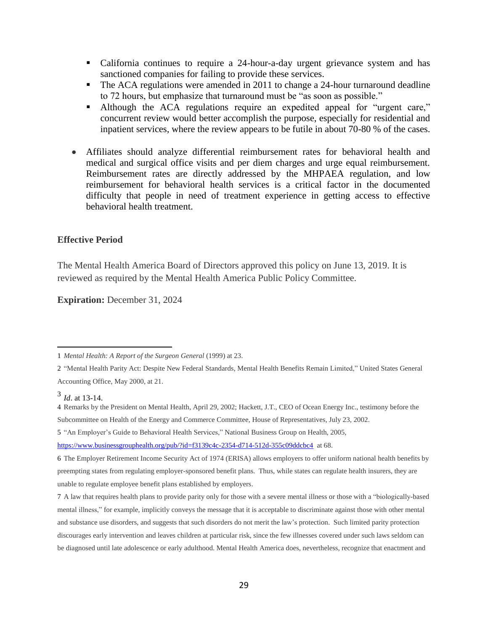- California continues to require a 24-hour-a-day urgent grievance system and has sanctioned companies for failing to provide these services.
- The ACA regulations were amended in 2011 to change a 24-hour turnaround deadline to 72 hours, but emphasize that turnaround must be "as soon as possible."
- Although the ACA regulations require an expedited appeal for "urgent care," concurrent review would better accomplish the purpose, especially for residential and inpatient services, where the review appears to be futile in about 70-80 % of the cases.
- Affiliates should analyze differential reimbursement rates for behavioral health and medical and surgical office visits and per diem charges and urge equal reimbursement. Reimbursement rates are directly addressed by the MHPAEA regulation, and low reimbursement for behavioral health services is a critical factor in the documented difficulty that people in need of treatment experience in getting access to effective behavioral health treatment.

#### **Effective Period**

The Mental Health America Board of Directors approved this policy on June 13, 2019. It is reviewed as required by the Mental Health America Public Policy Committee.

**Expiration:** December 31, 2024

 $\overline{a}$ 

5 "An Employer's Guide to Behavioral Health Services," National Business Group on Health, 2005,

<sup>1</sup> *Mental Health: A Report of the Surgeon General* (1999) at 23.

<sup>2</sup> "Mental Health Parity Act: Despite New Federal Standards, Mental Health Benefits Remain Limited," United States General Accounting Office, May 2000, at 21.

<sup>3</sup> *Id*. at 13-14.

<sup>4</sup> Remarks by the President on Mental Health, April 29, 2002; Hackett, J.T., CEO of Ocean Energy Inc., testimony before the Subcommittee on Health of the Energy and Commerce Committee, House of Representatives, July 23, 2002.

<https://www.businessgrouphealth.org/pub/?id=f3139c4c-2354-d714-512d-355c09ddcbc4> at 68.

<sup>6</sup> The Employer Retirement Income Security Act of 1974 (ERISA) allows employers to offer uniform national health benefits by preempting states from regulating employer-sponsored benefit plans. Thus, while states can regulate health insurers, they are unable to regulate employee benefit plans established by employers.

<sup>7</sup> A law that requires health plans to provide parity only for those with a severe mental illness or those with a "biologically-based mental illness," for example, implicitly conveys the message that it is acceptable to discriminate against those with other mental and substance use disorders, and suggests that such disorders do not merit the law's protection. Such limited parity protection discourages early intervention and leaves children at particular risk, since the few illnesses covered under such laws seldom can be diagnosed until late adolescence or early adulthood. Mental Health America does, nevertheless, recognize that enactment and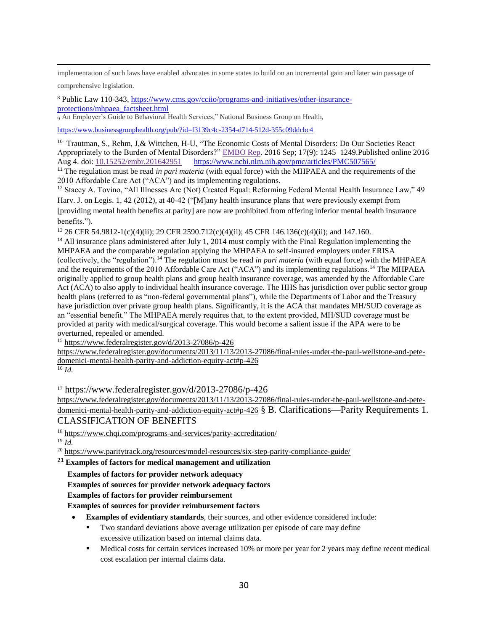$\overline{a}$ implementation of such laws have enabled advocates in some states to build on an incremental gain and later win passage of

comprehensive legislation.

<sup>8</sup> Public Law 110-343, [https://www.cms.gov/cciio/programs-and-initiatives/other-insurance](https://www.cms.gov/cciio/programs-and-initiatives/other-insurance-protections/mhpaea_factsheet.html)[protections/mhpaea\\_factsheet.html](https://www.cms.gov/cciio/programs-and-initiatives/other-insurance-protections/mhpaea_factsheet.html)

<sup>9</sup> An Employer's Guide to Behavioral Health Services," National Business Group on Health,

<https://www.businessgrouphealth.org/pub/?id=f3139c4c-2354-d714-512d-355c09ddcbc4>

<sup>10</sup> Trautman, S., Rehm, J,& Wittchen, H-U, "The Economic Costs of Mental Disorders: Do Our Societies React Appropriately to the Burden of Mental Disorders?" [EMBO Rep.](https://www.ncbi.nlm.nih.gov/pmc/articles/PMC5007565/) 2016 Sep; 17(9): 1245–1249.Published online 2016 Aug 4. doi: [10.15252/embr.201642951](https://dx.doi.org/10.15252%2Fembr.201642951) [https://www.ncbi.nlm.nih.gov/pmc/articles/PMC507565/](https://www.ncbi.nlm.nih.gov/pmc/articles/PMC5007565/)

<sup>11</sup> The regulation must be read *in pari materia* (with equal force) with the MHPAEA and the requirements of the 2010 Affordable Care Act ("ACA") and its implementing regulations.

<sup>12</sup> Stacey A. Tovino, "All Illnesses Are (Not) Created Equal: Reforming Federal Mental Health Insurance Law," 49 Harv. J. on Legis. 1, 42 (2012), at 40-42 ("[M]any health insurance plans that were previously exempt from [providing mental health benefits at parity] are now are prohibited from offering inferior mental health insurance benefits.").

<sup>13</sup> 26 CFR 54.9812-1(c)(4)(ii); 29 CFR 2590.712(c)(4)(ii); 45 CFR 146.136(c)(4)(ii); and 147.160.

<sup>14</sup> All insurance plans administered after July 1, 2014 must comply with the Final Regulation implementing the MHPAEA and the comparable regulation applying the MHPAEA to self-insured employers under ERISA (collectively, the "regulation").<sup>14</sup> The regulation must be read *in pari materia* (with equal force) with the MHPAEA and the requirements of the 2010 Affordable Care Act ("ACA") and its implementing regulations.<sup>14</sup> The MHPAEA originally applied to group health plans and group health insurance coverage, was amended by the Affordable Care Act (ACA) to also apply to individual health insurance coverage. The HHS has jurisdiction over public sector group health plans (referred to as "non-federal governmental plans"), while the Departments of Labor and the Treasury have jurisdiction over private group health plans. Significantly, it is the ACA that mandates MH/SUD coverage as an "essential benefit." The MHPAEA merely requires that, to the extent provided, MH/SUD coverage must be provided at parity with medical/surgical coverage. This would become a salient issue if the APA were to be overturned, repealed or amended.

<sup>15</sup> <https://www.federalregister.gov/d/2013-27086/p-426>

[https://www.federalregister.gov/documents/2013/11/13/2013-27086/final-rules-under-the-paul-wellstone-and-pete](https://www.federalregister.gov/documents/2013/11/13/2013-27086/final-rules-under-the-paul-wellstone-and-pete-domenici-mental-health-parity-and-addiction-equity-act#p-426)[domenici-mental-health-parity-and-addiction-equity-act#p-426](https://www.federalregister.gov/documents/2013/11/13/2013-27086/final-rules-under-the-paul-wellstone-and-pete-domenici-mental-health-parity-and-addiction-equity-act#p-426)

 $\overline{^{16}}$  *Id.* 

 $17 \text{ https://www.federalregister.gov/d/2013-27086/p-426}$ 

[https://www.federalregister.gov/documents/2013/11/13/2013-27086/final-rules-under-the-paul-wellstone-and-pete](https://www.federalregister.gov/documents/2013/11/13/2013-27086/final-rules-under-the-paul-wellstone-and-pete-domenici-mental-health-parity-and-addiction-equity-act#p-426)[domenici-mental-health-parity-and-addiction-equity-act#p-426](https://www.federalregister.gov/documents/2013/11/13/2013-27086/final-rules-under-the-paul-wellstone-and-pete-domenici-mental-health-parity-and-addiction-equity-act#p-426) § B. Clarifications—Parity Requirements 1. CLASSIFICATION OF BENEFITS

<sup>18</sup> <https://www.chqi.com/programs-and-services/parity-accreditation/>

<sup>19</sup> *Id.*

<sup>20</sup> <https://www.paritytrack.org/resources/model-resources/six-step-parity-compliance-guide/>

<sup>21</sup> **Examples of factors for medical management and utilization** 

 **Examples of factors for provider network adequacy**

 **Examples of sources for provider network adequacy factors**

 **Examples of factors for provider reimbursement**

 **Examples of sources for provider reimbursement factors**

- **Examples of evidentiary standards**, their sources, and other evidence considered include:
	- Two standard deviations above average utilization per episode of care may define excessive utilization based on internal claims data.
	- Medical costs for certain services increased 10% or more per year for 2 years may define recent medical cost escalation per internal claims data.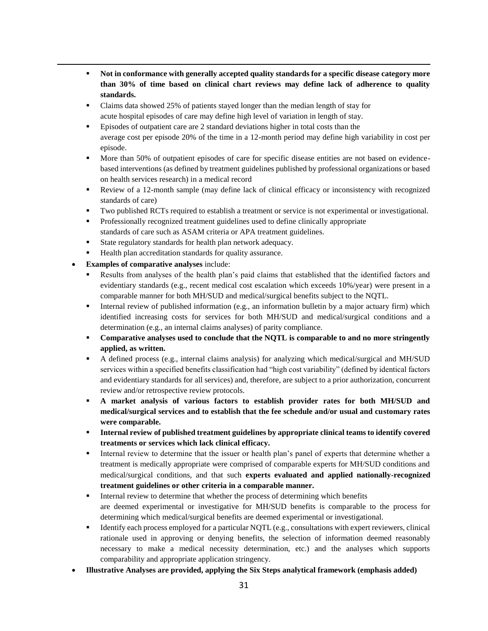- **Not in conformance with generally accepted quality standards for a specific disease category more than 30% of time based on clinical chart reviews may define lack of adherence to quality standards.**
- Claims data showed 25% of patients stayed longer than the median length of stay for acute hospital episodes of care may define high level of variation in length of stay.
- **Episodes of outpatient care are 2 standard deviations higher in total costs than the** average cost per episode 20% of the time in a 12-month period may define high variability in cost per episode.
- More than 50% of outpatient episodes of care for specific disease entities are not based on evidencebased interventions (as defined by treatment guidelines published by professional organizations or based on health services research) in a medical record
- Review of a 12-month sample (may define lack of clinical efficacy or inconsistency with recognized standards of care)
- Two published RCTs required to establish a treatment or service is not experimental or investigational.
- Professionally recognized treatment guidelines used to define clinically appropriate standards of care such as ASAM criteria or APA treatment guidelines.
- State regulatory standards for health plan network adequacy.
- Health plan accreditation standards for quality assurance.
- **Examples of comparative analyses** include:

- Results from analyses of the health plan's paid claims that established that the identified factors and evidentiary standards (e.g., recent medical cost escalation which exceeds 10%/year) were present in a comparable manner for both MH/SUD and medical/surgical benefits subject to the NQTL.
- **■** Internal review of published information (e.g., an information bulletin by a major actuary firm) which identified increasing costs for services for both MH/SUD and medical/surgical conditions and a determination (e.g., an internal claims analyses) of parity compliance.
- **Comparative analyses used to conclude that the NQTL is comparable to and no more stringently applied, as written.**
- A defined process (e.g., internal claims analysis) for analyzing which medical/surgical and MH/SUD services within a specified benefits classification had "high cost variability" (defined by identical factors and evidentiary standards for all services) and, therefore, are subject to a prior authorization, concurrent review and/or retrospective review protocols.
- **A market analysis of various factors to establish provider rates for both MH/SUD and medical/surgical services and to establish that the fee schedule and/or usual and customary rates were comparable.**
- **EXECUTE:** Internal review of published treatment guidelines by appropriate clinical teams to identify covered **treatments or services which lack clinical efficacy.**
- **■** Internal review to determine that the issuer or health plan's panel of experts that determine whether a treatment is medically appropriate were comprised of comparable experts for MH/SUD conditions and medical/surgical conditions, and that such **experts evaluated and applied nationally-recognized treatment guidelines or other criteria in a comparable manner.**
- **•** Internal review to determine that whether the process of determining which benefits are deemed experimental or investigative for MH/SUD benefits is comparable to the process for determining which medical/surgical benefits are deemed experimental or investigational.
- Identify each process employed for a particular NOTL (e.g., consultations with expert reviewers, clinical rationale used in approving or denying benefits, the selection of information deemed reasonably necessary to make a medical necessity determination, etc.) and the analyses which supports comparability and appropriate application stringency.
- **Illustrative Analyses are provided, applying the Six Steps analytical framework (emphasis added)**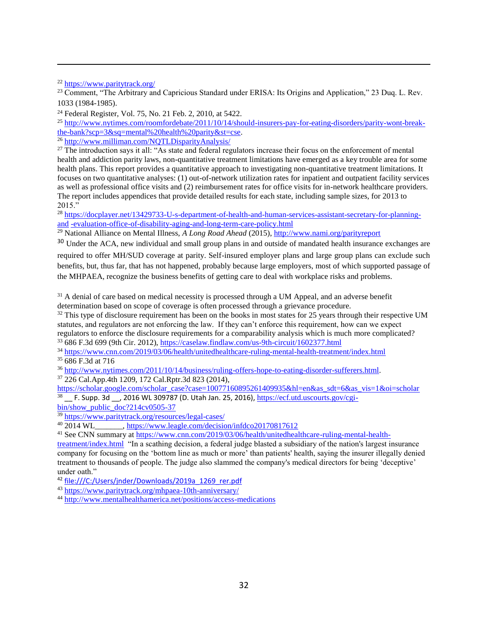<sup>22</sup> <https://www.paritytrack.org/>

 $\overline{a}$ 

<sup>23</sup> Comment, "The Arbitrary and Capricious Standard under ERISA: Its Origins and Application," 23 Duq. L. Rev. 1033 (1984-1985).

<sup>24</sup> Federal Register, Vol. 75, No. 21 Feb. 2, 2010, at 5422.

<sup>25</sup> [http://www.nytimes.com/roomfordebate/2011/10/14/should-insurers-pay-for-eating-disorders/parity-wont-break](http://www.nytimes.com/roomfordebate/2011/10/14/should-insurers-pay-for-eating-disorders/parity-wont-break-the-bank?scp=3&sq=mental%20health%20parity&st=cse)[the-bank?scp=3&sq=mental%20health%20parity&st=cse.](http://www.nytimes.com/roomfordebate/2011/10/14/should-insurers-pay-for-eating-disorders/parity-wont-break-the-bank?scp=3&sq=mental%20health%20parity&st=cse)

<sup>26</sup> <http://www.milliman.com/NQTLDisparityAnalysis/>

<sup>27</sup> The introduction says it all: "As state and federal regulators increase their focus on the enforcement of mental health and addiction parity laws, non-quantitative treatment limitations have emerged as a key trouble area for some health plans. This report provides a quantitative approach to investigating non-quantitative treatment limitations. It focuses on two quantitative analyses: (1) out-of-network utilization rates for inpatient and outpatient facility services as well as professional office visits and (2) reimbursement rates for office visits for in-network healthcare providers. The report includes appendices that provide detailed results for each state, including sample sizes, for 2013 to 2015."

<sup>28</sup> [https://docplayer.net/13429733-U-s-department-of-health-and-human-services-assistant-secretary-for-planning](https://docplayer.net/13429733-U-s-department-of-health-and-human-services-assistant-secretary-for-planning-and-evaluation-office-of-disability-aging-and-long-term-care-policy.html)and [-evaluation-office-of-disability-aging-and-long-term-care-policy.html](https://docplayer.net/13429733-U-s-department-of-health-and-human-services-assistant-secretary-for-planning-and-evaluation-office-of-disability-aging-and-long-term-care-policy.html)

<sup>29</sup> National Alliance on Mental Illness, *A Long Road Ahead* (2015)[, http://www.nami.org/parityreport](http://www.nami.org/parityreport) 

<sup>30</sup> Under the ACA, new individual and small group plans in and outside of mandated health insurance exchanges are required to offer MH/SUD coverage at parity. Self-insured employer plans and large group plans can exclude such benefits, but, thus far, that has not happened, probably because large employers, most of which supported passage of the MHPAEA, recognize the business benefits of getting care to deal with workplace risks and problems.

<sup>31</sup> A denial of care based on medical necessity is processed through a UM Appeal, and an adverse benefit determination based on scope of coverage is often processed through a grievance procedure.

<sup>32</sup> This type of disclosure requirement has been on the books in most states for 25 years through their respective UM statutes, and regulators are not enforcing the law. If they can't enforce this requirement, how can we expect regulators to enforce the disclosure requirements for a comparability analysis which is much more complicated?

<sup>33</sup> 686 F.3d 699 (9th Cir. 2012),<https://caselaw.findlaw.com/us-9th-circuit/1602377.html>

<sup>34</sup> <https://www.cnn.com/2019/03/06/health/unitedhealthcare-ruling-mental-health-treatment/index.html>

<sup>35</sup> 686 F.3d at 716

<sup>36</sup> [http://www.nytimes.com/2011/10/14/business/ruling-offers-hope-to-eating-disorder-sufferers.html.](http://www.nytimes.com/2011/10/14/business/ruling-offers-hope-to-eating-disorder-sufferers.html) <sup>37</sup> 226 Cal.App.4th 1209, 172 Cal.Rptr.3d 823 (2014),

[https://scholar.google.com/scholar\\_case?case=10077160895261409935&hl=en&as\\_sdt=6&as\\_vis=1&oi=scholar](https://scholar.google.com/scholar_case?case=10077160895261409935&hl=en&as_sdt=6&as_vis=1&oi=scholar)  $38$  F. Supp. 3d , 2016 WL 309787 (D. Utah Jan. 25, 2016), [https://ecf.utd.uscourts.gov/cgi-](https://ecf.utd.uscourts.gov/cgi-bin/show_public_doc?214cv0505-37)

[bin/show\\_public\\_doc?214cv0505-37](https://ecf.utd.uscourts.gov/cgi-bin/show_public_doc?214cv0505-37)

<sup>39</sup> <https://www.paritytrack.org/resources/legal-cases/>

<sup>40</sup> 2014 WL\_\_\_\_\_\_\_,<https://www.leagle.com/decision/infdco20170817612>

<sup>41</sup> See CNN summary at [https://www.cnn.com/2019/03/06/health/unitedhealthcare-ruling-mental-health-](https://www.cnn.com/2019/03/06/health/unitedhealthcare-ruling-mental-health-treatment/index.html)

[treatment/index.html](https://www.cnn.com/2019/03/06/health/unitedhealthcare-ruling-mental-health-treatment/index.html) "In a scathing decision, a federal judge blasted a subsidiary of the nation's largest insurance company for focusing on the 'bottom line as much or more' than patients' health, saying the insurer illegally denied treatment to thousands of people. The judge also slammed the company's medical directors for being 'deceptive' under oath."

<sup>42</sup> [file:///C:/Users/jnder/Downloads/2019a\\_1269\\_rer.pdf](file:///C:/Users/jnder/Downloads/2019a_1269_rer.pdf)

<sup>43</sup> <https://www.paritytrack.org/mhpaea-10th-anniversary/>

<sup>44</sup> <http://www.mentalhealthamerica.net/positions/access-medications>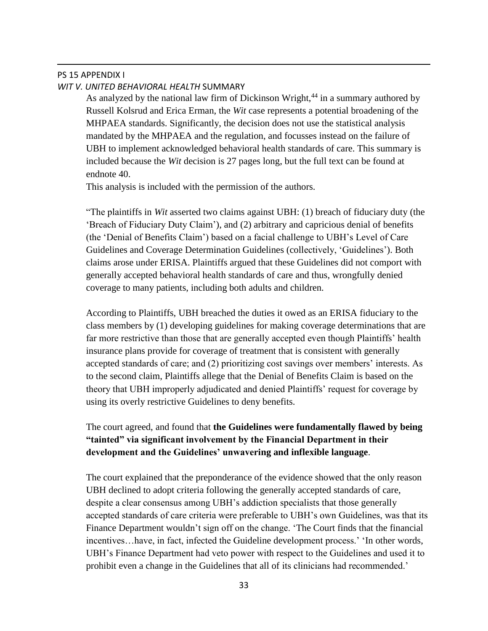#### PS 15 APPENDIX I *WIT V. UNITED BEHAVIORAL HEALTH* SUMMARY

 $\overline{a}$ 

As analyzed by the national law firm of Dickinson Wright,<sup>44</sup> in a summary authored by Russell Kolsrud and Erica Erman, the *Wit* case represents a potential broadening of the MHPAEA standards. Significantly, the decision does not use the statistical analysis mandated by the MHPAEA and the regulation, and focusses instead on the failure of UBH to implement acknowledged behavioral health standards of care. This summary is included because the *Wit* decision is 27 pages long, but the full text can be found at endnote 40.

This analysis is included with the permission of the authors.

"The plaintiffs in *Wit* asserted two claims against UBH: (1) breach of fiduciary duty (the 'Breach of Fiduciary Duty Claim'), and (2) arbitrary and capricious denial of benefits (the 'Denial of Benefits Claim') based on a facial challenge to UBH's Level of Care Guidelines and Coverage Determination Guidelines (collectively, 'Guidelines'). Both claims arose under ERISA. Plaintiffs argued that these Guidelines did not comport with generally accepted behavioral health standards of care and thus, wrongfully denied coverage to many patients, including both adults and children.

According to Plaintiffs, UBH breached the duties it owed as an ERISA fiduciary to the class members by (1) developing guidelines for making coverage determinations that are far more restrictive than those that are generally accepted even though Plaintiffs' health insurance plans provide for coverage of treatment that is consistent with generally accepted standards of care; and (2) prioritizing cost savings over members' interests. As to the second claim, Plaintiffs allege that the Denial of Benefits Claim is based on the theory that UBH improperly adjudicated and denied Plaintiffs' request for coverage by using its overly restrictive Guidelines to deny benefits.

# The court agreed, and found that **the Guidelines were fundamentally flawed by being "tainted" via significant involvement by the Financial Department in their development and the Guidelines' unwavering and inflexible language**.

The court explained that the preponderance of the evidence showed that the only reason UBH declined to adopt criteria following the generally accepted standards of care, despite a clear consensus among UBH's addiction specialists that those generally accepted standards of care criteria were preferable to UBH's own Guidelines, was that its Finance Department wouldn't sign off on the change. 'The Court finds that the financial incentives…have, in fact, infected the Guideline development process.' 'In other words, UBH's Finance Department had veto power with respect to the Guidelines and used it to prohibit even a change in the Guidelines that all of its clinicians had recommended.'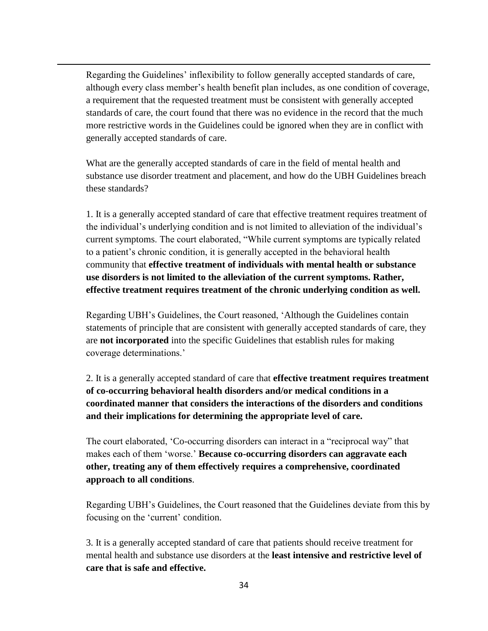Regarding the Guidelines' inflexibility to follow generally accepted standards of care, although every class member's health benefit plan includes, as one condition of coverage, a requirement that the requested treatment must be consistent with generally accepted standards of care, the court found that there was no evidence in the record that the much more restrictive words in the Guidelines could be ignored when they are in conflict with generally accepted standards of care.

 $\overline{a}$ 

What are the generally accepted standards of care in the field of mental health and substance use disorder treatment and placement, and how do the UBH Guidelines breach these standards?

1. It is a generally accepted standard of care that effective treatment requires treatment of the individual's underlying condition and is not limited to alleviation of the individual's current symptoms. The court elaborated, "While current symptoms are typically related to a patient's chronic condition, it is generally accepted in the behavioral health community that **effective treatment of individuals with mental health or substance use disorders is not limited to the alleviation of the current symptoms. Rather, effective treatment requires treatment of the chronic underlying condition as well.**

Regarding UBH's Guidelines, the Court reasoned, 'Although the Guidelines contain statements of principle that are consistent with generally accepted standards of care, they are **not incorporated** into the specific Guidelines that establish rules for making coverage determinations.'

2. It is a generally accepted standard of care that **effective treatment requires treatment of co-occurring behavioral health disorders and/or medical conditions in a coordinated manner that considers the interactions of the disorders and conditions and their implications for determining the appropriate level of care.**

The court elaborated, 'Co-occurring disorders can interact in a "reciprocal way" that makes each of them 'worse.' **Because co-occurring disorders can aggravate each other, treating any of them effectively requires a comprehensive, coordinated approach to all conditions**.

Regarding UBH's Guidelines, the Court reasoned that the Guidelines deviate from this by focusing on the 'current' condition.

3. It is a generally accepted standard of care that patients should receive treatment for mental health and substance use disorders at the **least intensive and restrictive level of care that is safe and effective.**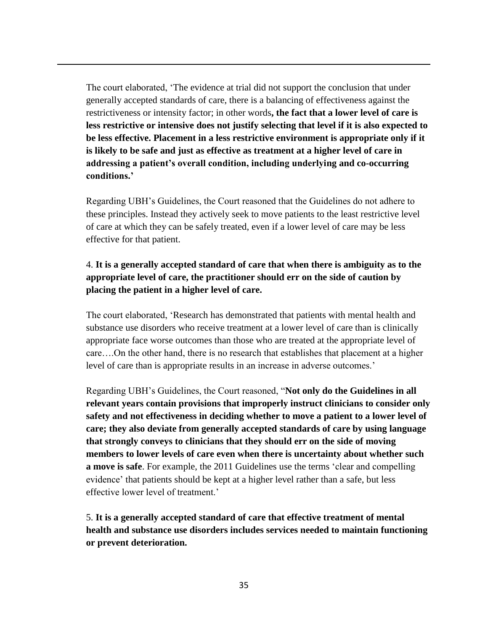The court elaborated, 'The evidence at trial did not support the conclusion that under generally accepted standards of care, there is a balancing of effectiveness against the restrictiveness or intensity factor; in other words**, the fact that a lower level of care is less restrictive or intensive does not justify selecting that level if it is also expected to be less effective. Placement in a less restrictive environment is appropriate only if it is likely to be safe and just as effective as treatment at a higher level of care in addressing a patient's overall condition, including underlying and co-occurring conditions.'**

 $\overline{a}$ 

Regarding UBH's Guidelines, the Court reasoned that the Guidelines do not adhere to these principles. Instead they actively seek to move patients to the least restrictive level of care at which they can be safely treated, even if a lower level of care may be less effective for that patient.

# 4. **It is a generally accepted standard of care that when there is ambiguity as to the appropriate level of care, the practitioner should err on the side of caution by placing the patient in a higher level of care.**

The court elaborated, 'Research has demonstrated that patients with mental health and substance use disorders who receive treatment at a lower level of care than is clinically appropriate face worse outcomes than those who are treated at the appropriate level of care….On the other hand, there is no research that establishes that placement at a higher level of care than is appropriate results in an increase in adverse outcomes.'

Regarding UBH's Guidelines, the Court reasoned, "**Not only do the Guidelines in all relevant years contain provisions that improperly instruct clinicians to consider only safety and not effectiveness in deciding whether to move a patient to a lower level of care; they also deviate from generally accepted standards of care by using language that strongly conveys to clinicians that they should err on the side of moving members to lower levels of care even when there is uncertainty about whether such a move is safe**. For example, the 2011 Guidelines use the terms 'clear and compelling evidence' that patients should be kept at a higher level rather than a safe, but less effective lower level of treatment.'

5. **It is a generally accepted standard of care that effective treatment of mental health and substance use disorders includes services needed to maintain functioning or prevent deterioration.**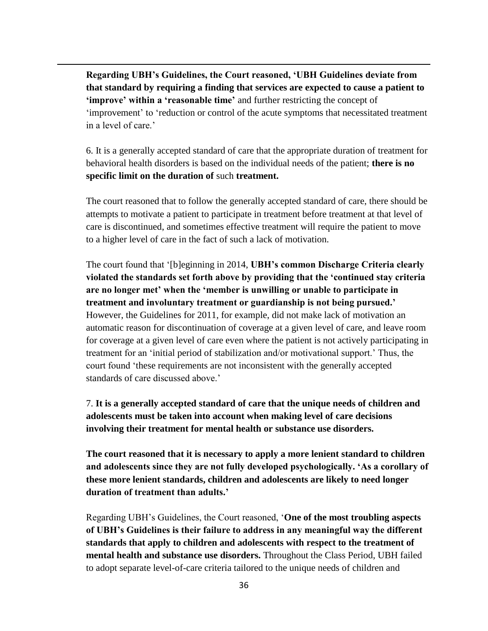**Regarding UBH's Guidelines, the Court reasoned, 'UBH Guidelines deviate from that standard by requiring a finding that services are expected to cause a patient to 'improve' within a 'reasonable time'** and further restricting the concept of 'improvement' to 'reduction or control of the acute symptoms that necessitated treatment in a level of care.'

 $\overline{a}$ 

6. It is a generally accepted standard of care that the appropriate duration of treatment for behavioral health disorders is based on the individual needs of the patient; **there is no specific limit on the duration of** such **treatment.**

The court reasoned that to follow the generally accepted standard of care, there should be attempts to motivate a patient to participate in treatment before treatment at that level of care is discontinued, and sometimes effective treatment will require the patient to move to a higher level of care in the fact of such a lack of motivation.

The court found that '[b]eginning in 2014, **UBH's common Discharge Criteria clearly violated the standards set forth above by providing that the 'continued stay criteria are no longer met' when the 'member is unwilling or unable to participate in treatment and involuntary treatment or guardianship is not being pursued.'** However, the Guidelines for 2011, for example, did not make lack of motivation an automatic reason for discontinuation of coverage at a given level of care, and leave room for coverage at a given level of care even where the patient is not actively participating in treatment for an 'initial period of stabilization and/or motivational support.' Thus, the court found 'these requirements are not inconsistent with the generally accepted standards of care discussed above.'

7. **It is a generally accepted standard of care that the unique needs of children and adolescents must be taken into account when making level of care decisions involving their treatment for mental health or substance use disorders.**

**The court reasoned that it is necessary to apply a more lenient standard to children and adolescents since they are not fully developed psychologically. 'As a corollary of these more lenient standards, children and adolescents are likely to need longer duration of treatment than adults.'**

Regarding UBH's Guidelines, the Court reasoned, '**One of the most troubling aspects of UBH's Guidelines is their failure to address in any meaningful way the different standards that apply to children and adolescents with respect to the treatment of mental health and substance use disorders.** Throughout the Class Period, UBH failed to adopt separate level-of-care criteria tailored to the unique needs of children and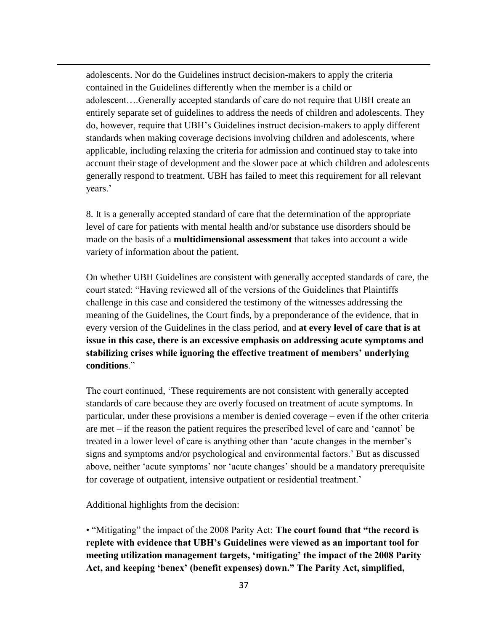adolescents. Nor do the Guidelines instruct decision-makers to apply the criteria contained in the Guidelines differently when the member is a child or adolescent….Generally accepted standards of care do not require that UBH create an entirely separate set of guidelines to address the needs of children and adolescents. They do, however, require that UBH's Guidelines instruct decision-makers to apply different standards when making coverage decisions involving children and adolescents, where applicable, including relaxing the criteria for admission and continued stay to take into account their stage of development and the slower pace at which children and adolescents generally respond to treatment. UBH has failed to meet this requirement for all relevant years.'

8. It is a generally accepted standard of care that the determination of the appropriate level of care for patients with mental health and/or substance use disorders should be made on the basis of a **multidimensional assessment** that takes into account a wide variety of information about the patient.

On whether UBH Guidelines are consistent with generally accepted standards of care, the court stated: "Having reviewed all of the versions of the Guidelines that Plaintiffs challenge in this case and considered the testimony of the witnesses addressing the meaning of the Guidelines, the Court finds, by a preponderance of the evidence, that in every version of the Guidelines in the class period, and **at every level of care that is at issue in this case, there is an excessive emphasis on addressing acute symptoms and stabilizing crises while ignoring the effective treatment of members' underlying conditions**."

The court continued, 'These requirements are not consistent with generally accepted standards of care because they are overly focused on treatment of acute symptoms. In particular, under these provisions a member is denied coverage – even if the other criteria are met – if the reason the patient requires the prescribed level of care and 'cannot' be treated in a lower level of care is anything other than 'acute changes in the member's signs and symptoms and/or psychological and environmental factors.' But as discussed above, neither 'acute symptoms' nor 'acute changes' should be a mandatory prerequisite for coverage of outpatient, intensive outpatient or residential treatment.'

Additional highlights from the decision:

 $\overline{a}$ 

• "Mitigating" the impact of the 2008 Parity Act: **The court found that "the record is replete with evidence that UBH's Guidelines were viewed as an important tool for meeting utilization management targets, 'mitigating' the impact of the 2008 Parity Act, and keeping 'benex' (benefit expenses) down." The Parity Act, simplified,**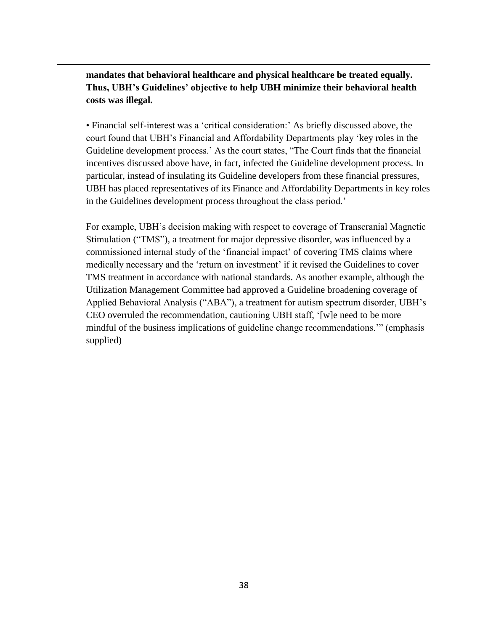**mandates that behavioral healthcare and physical healthcare be treated equally. Thus, UBH's Guidelines' objective to help UBH minimize their behavioral health costs was illegal.**

 $\overline{a}$ 

• Financial self-interest was a 'critical consideration:' As briefly discussed above, the court found that UBH's Financial and Affordability Departments play 'key roles in the Guideline development process.' As the court states, "The Court finds that the financial incentives discussed above have, in fact, infected the Guideline development process. In particular, instead of insulating its Guideline developers from these financial pressures, UBH has placed representatives of its Finance and Affordability Departments in key roles in the Guidelines development process throughout the class period.'

For example, UBH's decision making with respect to coverage of Transcranial Magnetic Stimulation ("TMS"), a treatment for major depressive disorder, was influenced by a commissioned internal study of the 'financial impact' of covering TMS claims where medically necessary and the 'return on investment' if it revised the Guidelines to cover TMS treatment in accordance with national standards. As another example, although the Utilization Management Committee had approved a Guideline broadening coverage of Applied Behavioral Analysis ("ABA"), a treatment for autism spectrum disorder, UBH's CEO overruled the recommendation, cautioning UBH staff, '[w]e need to be more mindful of the business implications of guideline change recommendations.'" (emphasis supplied)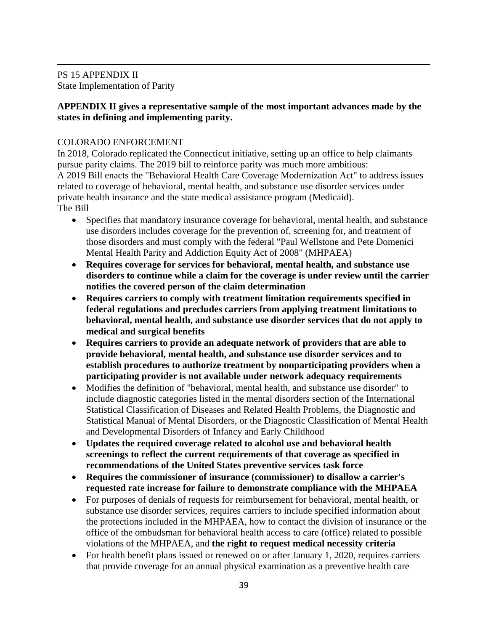$\overline{a}$ PS 15 APPENDIX II State Implementation of Parity

# **APPENDIX II gives a representative sample of the most important advances made by the states in defining and implementing parity.**

# COLORADO ENFORCEMENT

In 2018, Colorado replicated the Connecticut initiative, setting up an office to help claimants pursue parity claims. The 2019 bill to reinforce parity was much more ambitious: A 2019 Bill enacts the "Behavioral Health Care Coverage Modernization Act" to address issues related to coverage of behavioral, mental health, and substance use disorder services under private health insurance and the state medical assistance program (Medicaid). The Bill

- Specifies that mandatory insurance coverage for behavioral, mental health, and substance use disorders includes coverage for the prevention of, screening for, and treatment of those disorders and must comply with the federal "Paul Wellstone and Pete Domenici Mental Health Parity and Addiction Equity Act of 2008" (MHPAEA)
- **Requires coverage for services for behavioral, mental health, and substance use disorders to continue while a claim for the coverage is under review until the carrier notifies the covered person of the claim determination**
- **Requires carriers to comply with treatment limitation requirements specified in federal regulations and precludes carriers from applying treatment limitations to behavioral, mental health, and substance use disorder services that do not apply to medical and surgical benefits**
- **Requires carriers to provide an adequate network of providers that are able to provide behavioral, mental health, and substance use disorder services and to establish procedures to authorize treatment by nonparticipating providers when a participating provider is not available under network adequacy requirements**
- Modifies the definition of "behavioral, mental health, and substance use disorder" to include diagnostic categories listed in the mental disorders section of the International Statistical Classification of Diseases and Related Health Problems, the Diagnostic and Statistical Manual of Mental Disorders, or the Diagnostic Classification of Mental Health and Developmental Disorders of Infancy and Early Childhood
- **Updates the required coverage related to alcohol use and behavioral health screenings to reflect the current requirements of that coverage as specified in recommendations of the United States preventive services task force**
- **Requires the commissioner of insurance (commissioner) to disallow a carrier's requested rate increase for failure to demonstrate compliance with the MHPAEA**
- For purposes of denials of requests for reimbursement for behavioral, mental health, or substance use disorder services, requires carriers to include specified information about the protections included in the MHPAEA, how to contact the division of insurance or the office of the ombudsman for behavioral health access to care (office) related to possible violations of the MHPAEA, and **the right to request medical necessity criteria**
- For health benefit plans issued or renewed on or after January 1, 2020, requires carriers that provide coverage for an annual physical examination as a preventive health care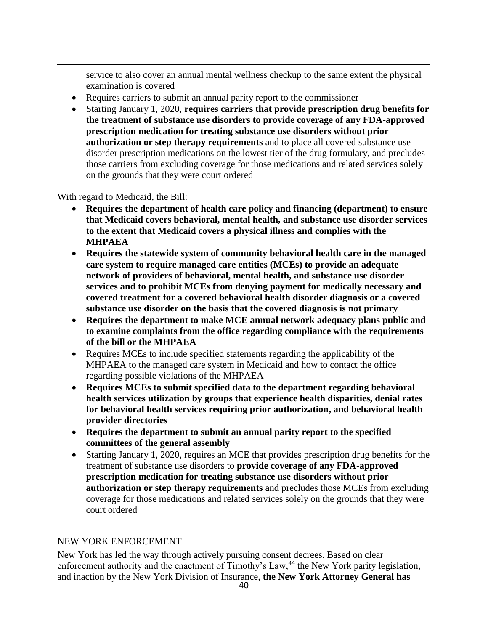service to also cover an annual mental wellness checkup to the same extent the physical examination is covered

- Requires carriers to submit an annual parity report to the commissioner
- Starting January 1, 2020, **requires carriers that provide prescription drug benefits for the treatment of substance use disorders to provide coverage of any FDA-approved prescription medication for treating substance use disorders without prior authorization or step therapy requirements** and to place all covered substance use disorder prescription medications on the lowest tier of the drug formulary, and precludes those carriers from excluding coverage for those medications and related services solely on the grounds that they were court ordered

With regard to Medicaid, the Bill:

 $\overline{a}$ 

- **Requires the department of health care policy and financing (department) to ensure that Medicaid covers behavioral, mental health, and substance use disorder services to the extent that Medicaid covers a physical illness and complies with the MHPAEA**
- **Requires the statewide system of community behavioral health care in the managed care system to require managed care entities (MCEs) to provide an adequate network of providers of behavioral, mental health, and substance use disorder services and to prohibit MCEs from denying payment for medically necessary and covered treatment for a covered behavioral health disorder diagnosis or a covered substance use disorder on the basis that the covered diagnosis is not primary**
- **Requires the department to make MCE annual network adequacy plans public and to examine complaints from the office regarding compliance with the requirements of the bill or the MHPAEA**
- Requires MCEs to include specified statements regarding the applicability of the MHPAEA to the managed care system in Medicaid and how to contact the office regarding possible violations of the MHPAEA
- **Requires MCEs to submit specified data to the department regarding behavioral health services utilization by groups that experience health disparities, denial rates for behavioral health services requiring prior authorization, and behavioral health provider directories**
- **Requires the department to submit an annual parity report to the specified committees of the general assembly**
- Starting January 1, 2020, requires an MCE that provides prescription drug benefits for the treatment of substance use disorders to **provide coverage of any FDA-approved prescription medication for treating substance use disorders without prior authorization or step therapy requirements** and precludes those MCEs from excluding coverage for those medications and related services solely on the grounds that they were court ordered

# NEW YORK ENFORCEMENT

New York has led the way through actively pursuing consent decrees. Based on clear enforcement authority and the enactment of Timothy's Law,<sup>44</sup> the New York parity legislation, and inaction by the New York Division of Insurance, **the New York Attorney General has**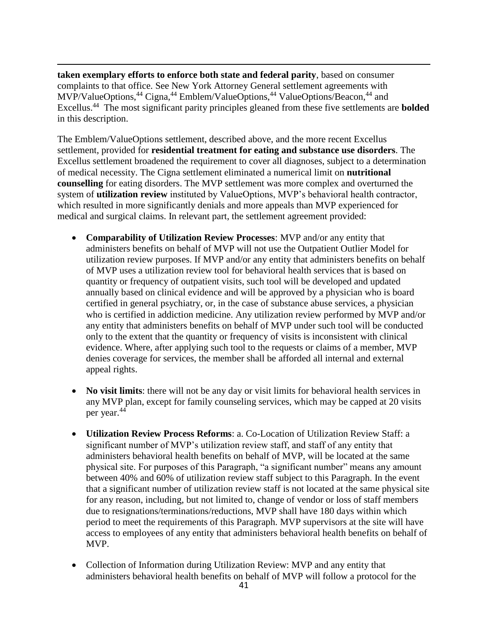$\overline{a}$ **taken exemplary efforts to enforce both state and federal parity**, based on consumer complaints to that office. See New York Attorney General settlement agreements with MVP/ValueOptions,<sup>44</sup> Cigna,<sup>44</sup> Emblem/ValueOptions,<sup>44</sup> ValueOptions/Beacon,<sup>44</sup> and Excellus.<sup>44</sup> The most significant parity principles gleaned from these five settlements are **bolded** in this description.

The Emblem/ValueOptions settlement, described above, and the more recent Excellus settlement, provided for **residential treatment for eating and substance use disorders**. The Excellus settlement broadened the requirement to cover all diagnoses, subject to a determination of medical necessity. The Cigna settlement eliminated a numerical limit on **nutritional counselling** for eating disorders. The MVP settlement was more complex and overturned the system of **utilization review** instituted by ValueOptions, MVP's behavioral health contractor, which resulted in more significantly denials and more appeals than MVP experienced for medical and surgical claims. In relevant part, the settlement agreement provided:

- **Comparability of Utilization Review Processes**: MVP and/or any entity that administers benefits on behalf of MVP will not use the Outpatient Outlier Model for utilization review purposes. If MVP and/or any entity that administers benefits on behalf of MVP uses a utilization review tool for behavioral health services that is based on quantity or frequency of outpatient visits, such tool will be developed and updated annually based on clinical evidence and will be approved by a physician who is board certified in general psychiatry, or, in the case of substance abuse services, a physician who is certified in addiction medicine. Any utilization review performed by MVP and/or any entity that administers benefits on behalf of MVP under such tool will be conducted only to the extent that the quantity or frequency of visits is inconsistent with clinical evidence. Where, after applying such tool to the requests or claims of a member, MVP denies coverage for services, the member shall be afforded all internal and external appeal rights.
- No visit limits: there will not be any day or visit limits for behavioral health services in any MVP plan, except for family counseling services, which may be capped at 20 visits per year.<sup>44</sup>
- **Utilization Review Process Reforms**: a. Co-Location of Utilization Review Staff: a significant number of MVP's utilization review staff, and staff of any entity that administers behavioral health benefits on behalf of MVP, will be located at the same physical site. For purposes of this Paragraph, "a significant number" means any amount between 40% and 60% of utilization review staff subject to this Paragraph. In the event that a significant number of utilization review staff is not located at the same physical site for any reason, including, but not limited to, change of vendor or loss of staff members due to resignations/terminations/reductions, MVP shall have 180 days within which period to meet the requirements of this Paragraph. MVP supervisors at the site will have access to employees of any entity that administers behavioral health benefits on behalf of MVP.
- Collection of Information during Utilization Review: MVP and any entity that administers behavioral health benefits on behalf of MVP will follow a protocol for the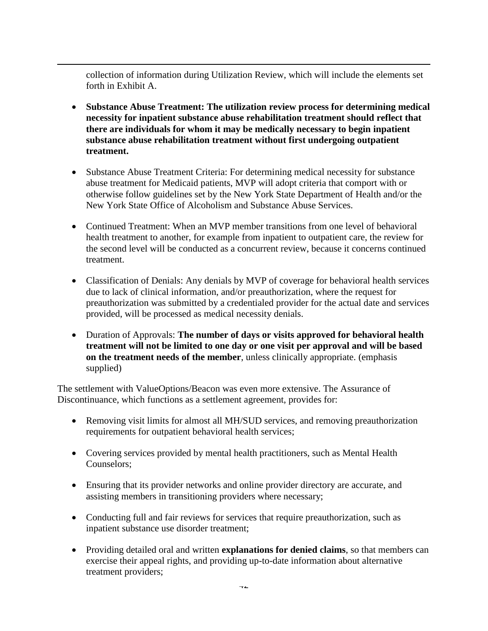collection of information during Utilization Review, which will include the elements set forth in Exhibit A.

 $\overline{a}$ 

- **Substance Abuse Treatment: The utilization review process for determining medical necessity for inpatient substance abuse rehabilitation treatment should reflect that there are individuals for whom it may be medically necessary to begin inpatient substance abuse rehabilitation treatment without first undergoing outpatient treatment.**
- Substance Abuse Treatment Criteria: For determining medical necessity for substance abuse treatment for Medicaid patients, MVP will adopt criteria that comport with or otherwise follow guidelines set by the New York State Department of Health and/or the New York State Office of Alcoholism and Substance Abuse Services.
- Continued Treatment: When an MVP member transitions from one level of behavioral health treatment to another, for example from inpatient to outpatient care, the review for the second level will be conducted as a concurrent review, because it concerns continued treatment.
- Classification of Denials: Any denials by MVP of coverage for behavioral health services due to lack of clinical information, and/or preauthorization, where the request for preauthorization was submitted by a credentialed provider for the actual date and services provided, will be processed as medical necessity denials.
- Duration of Approvals: **The number of days or visits approved for behavioral health treatment will not be limited to one day or one visit per approval and will be based on the treatment needs of the member**, unless clinically appropriate. (emphasis supplied)

The settlement with ValueOptions/Beacon was even more extensive. The Assurance of Discontinuance, which functions as a settlement agreement, provides for:

- Removing visit limits for almost all MH/SUD services, and removing preauthorization requirements for outpatient behavioral health services;
- Covering services provided by mental health practitioners, such as Mental Health Counselors;
- Ensuring that its provider networks and online provider directory are accurate, and assisting members in transitioning providers where necessary;
- Conducting full and fair reviews for services that require preauthorization, such as inpatient substance use disorder treatment;
- Providing detailed oral and written **explanations for denied claims**, so that members can exercise their appeal rights, and providing up-to-date information about alternative treatment providers;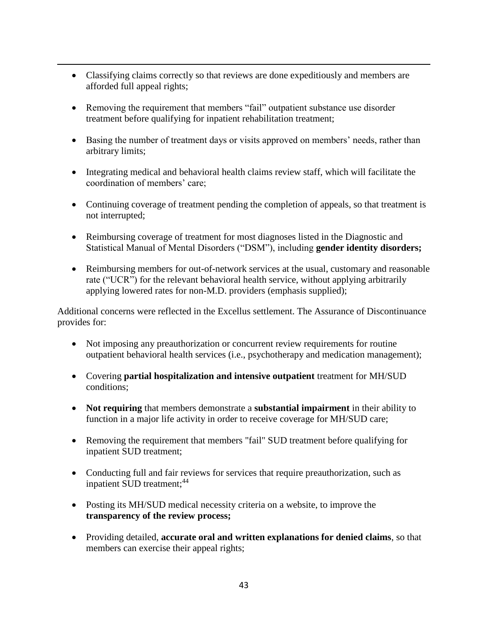- Classifying claims correctly so that reviews are done expeditiously and members are afforded full appeal rights;
- Removing the requirement that members "fail" outpatient substance use disorder treatment before qualifying for inpatient rehabilitation treatment;

 $\overline{a}$ 

- Basing the number of treatment days or visits approved on members' needs, rather than arbitrary limits;
- Integrating medical and behavioral health claims review staff, which will facilitate the coordination of members' care;
- Continuing coverage of treatment pending the completion of appeals, so that treatment is not interrupted;
- Reimbursing coverage of treatment for most diagnoses listed in the Diagnostic and Statistical Manual of Mental Disorders ("DSM"), including **gender identity disorders;**
- Reimbursing members for out-of-network services at the usual, customary and reasonable rate ("UCR") for the relevant behavioral health service, without applying arbitrarily applying lowered rates for non-M.D. providers (emphasis supplied);

Additional concerns were reflected in the Excellus settlement. The Assurance of Discontinuance provides for:

- Not imposing any preauthorization or concurrent review requirements for routine outpatient behavioral health services (i.e., psychotherapy and medication management);
- Covering **partial hospitalization and intensive outpatient** treatment for MH/SUD conditions;
- **Not requiring** that members demonstrate a **substantial impairment** in their ability to function in a major life activity in order to receive coverage for MH/SUD care;
- Removing the requirement that members "fail" SUD treatment before qualifying for inpatient SUD treatment;
- Conducting full and fair reviews for services that require preauthorization, such as inpatient SUD treatment;<sup>44</sup>
- Posting its MH/SUD medical necessity criteria on a website, to improve the **transparency of the review process;**
- Providing detailed, **accurate oral and written explanations for denied claims**, so that members can exercise their appeal rights;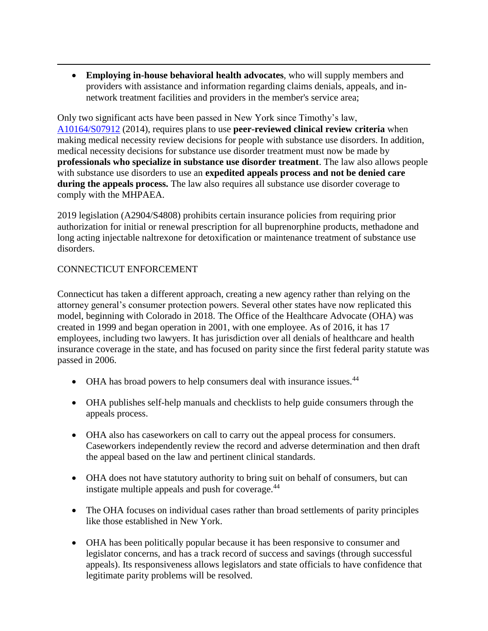• **Employing in-house behavioral health advocates**, who will supply members and providers with assistance and information regarding claims denials, appeals, and innetwork treatment facilities and providers in the member's service area;

Only two significant acts have been passed in New York since Timothy's law, [A10164/S07912](http://assembly.state.ny.us/leg/?term=2013&bn=A10164) (2014), requires plans to use **peer-reviewed clinical review criteria** when making medical necessity review decisions for people with substance use disorders. In addition, medical necessity decisions for substance use disorder treatment must now be made by **professionals who specialize in substance use disorder treatment**. The law also allows people with substance use disorders to use an **expedited appeals process and not be denied care during the appeals process.** The law also requires all substance use disorder coverage to comply with the MHPAEA.

2019 legislation (A2904/S4808) prohibits certain insurance policies from requiring prior authorization for initial or renewal prescription for all buprenorphine products, methadone and long acting injectable naltrexone for detoxification or maintenance treatment of substance use disorders.

# CONNECTICUT ENFORCEMENT

 $\overline{a}$ 

Connecticut has taken a different approach, creating a new agency rather than relying on the attorney general's consumer protection powers. Several other states have now replicated this model, beginning with Colorado in 2018. The Office of the Healthcare Advocate (OHA) was created in 1999 and began operation in 2001, with one employee. As of 2016, it has 17 employees, including two lawyers. It has jurisdiction over all denials of healthcare and health insurance coverage in the state, and has focused on parity since the first federal parity statute was passed in 2006.

- OHA has broad powers to help consumers deal with insurance issues.  $44$
- OHA publishes self-help manuals and checklists to help guide consumers through the appeals process.
- OHA also has caseworkers on call to carry out the appeal process for consumers. Caseworkers independently review the record and adverse determination and then draft the appeal based on the law and pertinent clinical standards.
- OHA does not have statutory authority to bring suit on behalf of consumers, but can instigate multiple appeals and push for coverage. $44$
- The OHA focuses on individual cases rather than broad settlements of parity principles like those established in New York.
- OHA has been politically popular because it has been responsive to consumer and legislator concerns, and has a track record of success and savings (through successful appeals). Its responsiveness allows legislators and state officials to have confidence that legitimate parity problems will be resolved.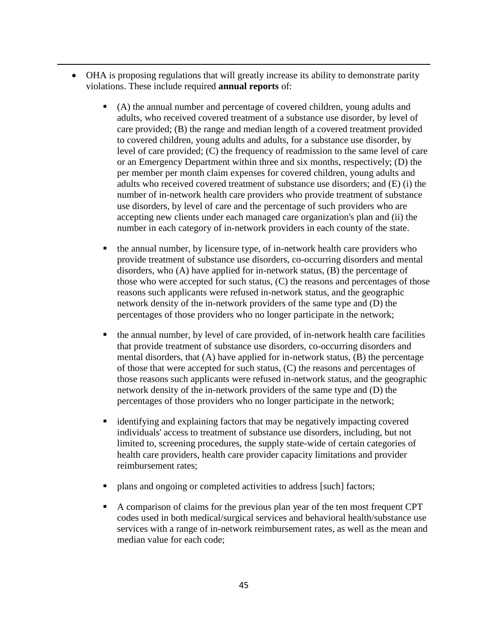• OHA is proposing regulations that will greatly increase its ability to demonstrate parity violations. These include required **annual reports** of:

- (A) the annual number and percentage of covered children, young adults and adults, who received covered treatment of a substance use disorder, by level of care provided; (B) the range and median length of a covered treatment provided to covered children, young adults and adults, for a substance use disorder, by level of care provided; (C) the frequency of readmission to the same level of care or an Emergency Department within three and six months, respectively; (D) the per member per month claim expenses for covered children, young adults and adults who received covered treatment of substance use disorders; and (E) (i) the number of in-network health care providers who provide treatment of substance use disorders, by level of care and the percentage of such providers who are accepting new clients under each managed care organization's plan and (ii) the number in each category of in-network providers in each county of the state.
- the annual number, by licensure type, of in-network health care providers who provide treatment of substance use disorders, co-occurring disorders and mental disorders, who (A) have applied for in-network status, (B) the percentage of those who were accepted for such status, (C) the reasons and percentages of those reasons such applicants were refused in-network status, and the geographic network density of the in-network providers of the same type and (D) the percentages of those providers who no longer participate in the network;
- the annual number, by level of care provided, of in-network health care facilities that provide treatment of substance use disorders, co-occurring disorders and mental disorders, that  $(A)$  have applied for in-network status,  $(B)$  the percentage of those that were accepted for such status, (C) the reasons and percentages of those reasons such applicants were refused in-network status, and the geographic network density of the in-network providers of the same type and (D) the percentages of those providers who no longer participate in the network;
- identifying and explaining factors that may be negatively impacting covered individuals' access to treatment of substance use disorders, including, but not limited to, screening procedures, the supply state-wide of certain categories of health care providers, health care provider capacity limitations and provider reimbursement rates;
- plans and ongoing or completed activities to address [such] factors;
- A comparison of claims for the previous plan year of the ten most frequent CPT codes used in both medical/surgical services and behavioral health/substance use services with a range of in-network reimbursement rates, as well as the mean and median value for each code;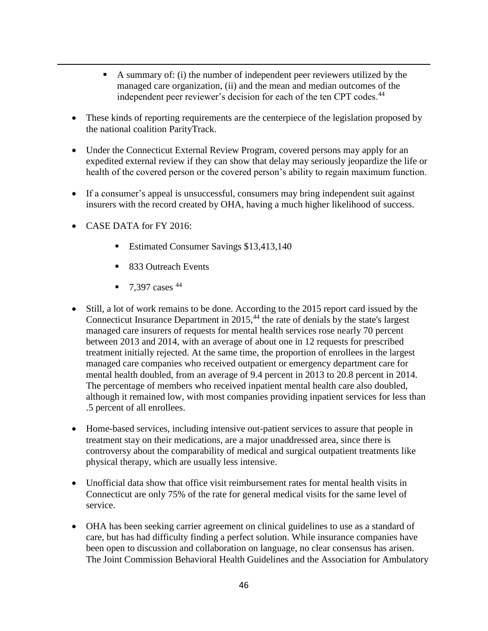- A summary of: (i) the number of independent peer reviewers utilized by the managed care organization, (ii) and the mean and median outcomes of the independent peer reviewer's decision for each of the ten CPT codes.<sup>44</sup>
- These kinds of reporting requirements are the centerpiece of the legislation proposed by the national coalition ParityTrack.
- Under the Connecticut External Review Program, covered persons may apply for an expedited external review if they can show that delay may seriously jeopardize the life or health of the covered person or the covered person's ability to regain maximum function.
- If a consumer's appeal is unsuccessful, consumers may bring independent suit against insurers with the record created by OHA, having a much higher likelihood of success.
- CASE DATA for FY 2016:

- Estimated Consumer Savings \$13,413,140
- 833 Outreach Events
- $\blacksquare$  7,397 cases <sup>44</sup>
- Still, a lot of work remains to be done. According to the 2015 report card issued by the Connecticut Insurance Department in  $2015$ ,<sup>44</sup> the rate of denials by the state's largest managed care insurers of requests for mental health services rose nearly 70 percent between 2013 and 2014, with an average of about one in 12 requests for prescribed treatment initially rejected. At the same time, the proportion of enrollees in the largest managed care companies who received outpatient or emergency department care for mental health doubled, from an average of 9.4 percent in 2013 to 20.8 percent in 2014. The percentage of members who received inpatient mental health care also doubled, although it remained low, with most companies providing inpatient services for less than .5 percent of all enrollees.
- Home-based services, including intensive out-patient services to assure that people in treatment stay on their medications, are a major unaddressed area, since there is controversy about the comparability of medical and surgical outpatient treatments like physical therapy, which are usually less intensive.
- Unofficial data show that office visit reimbursement rates for mental health visits in Connecticut are only 75% of the rate for general medical visits for the same level of service.
- OHA has been seeking carrier agreement on clinical guidelines to use as a standard of care, but has had difficulty finding a perfect solution. While insurance companies have been open to discussion and collaboration on language, no clear consensus has arisen. The Joint Commission Behavioral Health Guidelines and the Association for Ambulatory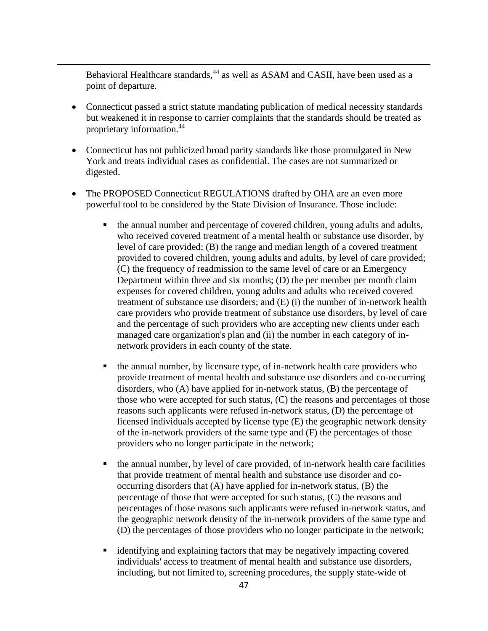Behavioral Healthcare standards,<sup>44</sup> as well as ASAM and CASII, have been used as a point of departure.

- Connecticut passed a strict statute mandating publication of medical necessity standards but weakened it in response to carrier complaints that the standards should be treated as proprietary information.<sup>44</sup>
- Connecticut has not publicized broad parity standards like those promulgated in New York and treats individual cases as confidential. The cases are not summarized or digested.
- The PROPOSED Connecticut REGULATIONS drafted by OHA are an even more powerful tool to be considered by the State Division of Insurance. Those include:
	- the annual number and percentage of covered children, young adults and adults, who received covered treatment of a mental health or substance use disorder, by level of care provided; (B) the range and median length of a covered treatment provided to covered children, young adults and adults, by level of care provided; (C) the frequency of readmission to the same level of care or an Emergency Department within three and six months; (D) the per member per month claim expenses for covered children, young adults and adults who received covered treatment of substance use disorders; and (E) (i) the number of in-network health care providers who provide treatment of substance use disorders, by level of care and the percentage of such providers who are accepting new clients under each managed care organization's plan and (ii) the number in each category of innetwork providers in each county of the state.
	- the annual number, by licensure type, of in-network health care providers who provide treatment of mental health and substance use disorders and co-occurring disorders, who (A) have applied for in-network status, (B) the percentage of those who were accepted for such status, (C) the reasons and percentages of those reasons such applicants were refused in-network status, (D) the percentage of licensed individuals accepted by license type (E) the geographic network density of the in-network providers of the same type and (F) the percentages of those providers who no longer participate in the network;
	- the annual number, by level of care provided, of in-network health care facilities that provide treatment of mental health and substance use disorder and cooccurring disorders that (A) have applied for in-network status, (B) the percentage of those that were accepted for such status, (C) the reasons and percentages of those reasons such applicants were refused in-network status, and the geographic network density of the in-network providers of the same type and (D) the percentages of those providers who no longer participate in the network;
	- identifying and explaining factors that may be negatively impacting covered individuals' access to treatment of mental health and substance use disorders, including, but not limited to, screening procedures, the supply state-wide of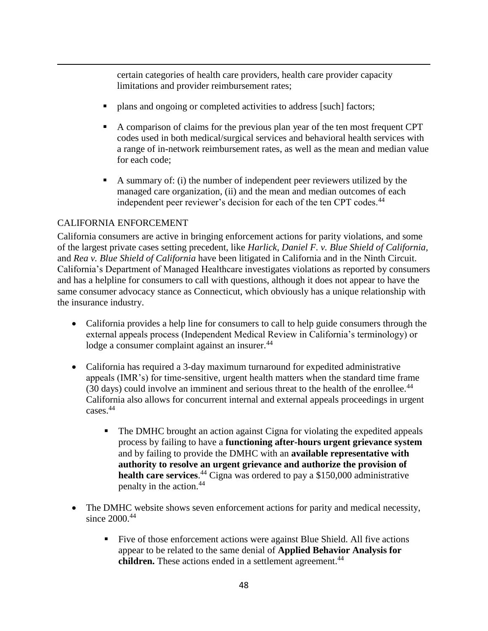certain categories of health care providers, health care provider capacity limitations and provider reimbursement rates;

- plans and ongoing or completed activities to address [such] factors;
- A comparison of claims for the previous plan year of the ten most frequent CPT codes used in both medical/surgical services and behavioral health services with a range of in-network reimbursement rates, as well as the mean and median value for each code;
- A summary of: (i) the number of independent peer reviewers utilized by the managed care organization, (ii) and the mean and median outcomes of each independent peer reviewer's decision for each of the ten CPT codes.<sup>44</sup>

# CALIFORNIA ENFORCEMENT

 $\overline{a}$ 

California consumers are active in bringing enforcement actions for parity violations, and some of the largest private cases setting precedent, like *Harlick, Daniel F. v. Blue Shield of California,* and *Rea v. Blue Shield of California* have been litigated in California and in the Ninth Circuit. California's Department of Managed Healthcare investigates violations as reported by consumers and has a helpline for consumers to call with questions, although it does not appear to have the same consumer advocacy stance as Connecticut, which obviously has a unique relationship with the insurance industry.

- California provides a help line for consumers to call to help guide consumers through the external appeals process (Independent Medical Review in California's terminology) or lodge a consumer complaint against an insurer.<sup>44</sup>
- California has required a 3-day maximum turnaround for expedited administrative appeals (IMR's) for time-sensitive, urgent health matters when the standard time frame (30 days) could involve an imminent and serious threat to the health of the enrollee.<sup>44</sup> California also allows for concurrent internal and external appeals proceedings in urgent cases.<sup>44</sup>
	- **The DMHC brought an action against Cigna for violating the expedited appeals** process by failing to have a **functioning after-hours urgent grievance system** and by failing to provide the DMHC with an **available representative with authority to resolve an urgent grievance and authorize the provision of health care services**. <sup>44</sup> Cigna was ordered to pay a \$150,000 administrative penalty in the action.<sup>44</sup>
- The DMHC website shows seven enforcement actions for parity and medical necessity, since 2000.<sup>44</sup>
	- Five of those enforcement actions were against Blue Shield. All five actions appear to be related to the same denial of **Applied Behavior Analysis for**  children. These actions ended in a settlement agreement.<sup>44</sup>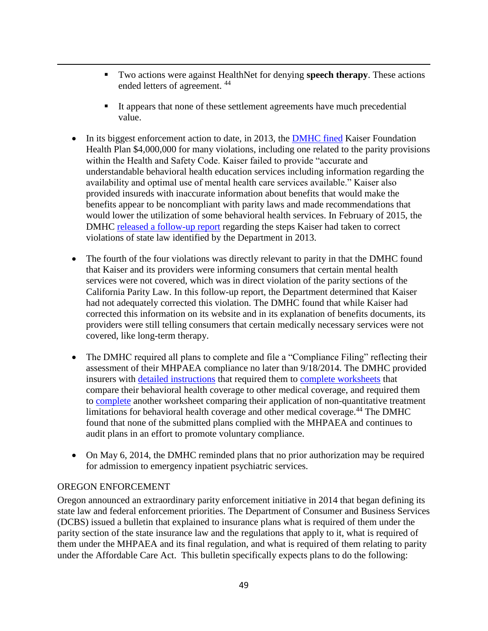- Two actions were against HealthNet for denying **speech therapy**. These actions ended letters of agreement. <sup>44</sup>
- It appears that none of these settlement agreements have much precedential value.
- In its biggest enforcement action to date, in 2013, the [DMHC fined](http://wpso.dmhc.ca.gov/enfactions/docs/1974/1372174518706.pdf) Kaiser Foundation Health Plan \$4,000,000 for many violations, including one related to the parity provisions within the Health and Safety Code. Kaiser failed to provide "accurate and understandable behavioral health education services including information regarding the availability and optimal use of mental health care services available." Kaiser also provided insureds with inaccurate information about benefits that would make the benefits appear to be noncompliant with parity laws and made recommendations that would lower the utilization of some behavioral health services. In February of 2015, the DMHC [released a follow-up report](http://www.dmhc.ca.gov/desktopmodules/dmhc/medsurveys/surveys/055bhfu022415.pdf) regarding the steps Kaiser had taken to correct violations of state law identified by the Department in 2013.
- The fourth of the four violations was directly relevant to parity in that the DMHC found that Kaiser and its providers were informing consumers that certain mental health services were not covered, which was in direct violation of the parity sections of the California Parity Law. In this follow-up report, the Department determined that Kaiser had not adequately corrected this violation. The DMHC found that while Kaiser had corrected this information on its website and in its explanation of benefits documents, its providers were still telling consumers that certain medically necessary services were not covered, like long-term therapy.
- The DMHC required all plans to complete and file a "Compliance Filing" reflecting their assessment of their MHPAEA compliance no later than 9/18/2014. The DMHC provided insurers with [detailed instructions](https://www.dmhc.ca.gov/Portals/0/LawsAndRegulations/MentalHealth/Instructions_for_Federal_MHPAEA_Compliance_Filing.pdf) that required them to [complete worksheets](https://www.dmhc.ca.gov/Portals/0/LawsAndRegulations/MentalHealth/Workbook_including_Index_and_Tables_1_through_4.pdf) that compare their behavioral health coverage to other medical coverage, and required them to [complete](https://www.dmhc.ca.gov/Portals/0/LawsAndRegulations/MentalHealth/Table_5-Non_Quantitative_Treatment_Limitations.pdf) another worksheet comparing their application of non-quantitative treatment limitations for behavioral health coverage and other medical coverage.<sup>44</sup> The DMHC found that none of the submitted plans complied with the MHPAEA and continues to audit plans in an effort to promote voluntary compliance.
- On May 6, 2014, the DMHC reminded plans that no prior authorization may be required for admission to emergency inpatient psychiatric services.

# OREGON ENFORCEMENT

 $\overline{a}$ 

Oregon announced an extraordinary parity enforcement initiative in 2014 that began defining its state law and federal enforcement priorities. The Department of Consumer and Business Services (DCBS) issued a bulletin that explained to insurance plans what is required of them under the parity section of the state insurance law and the regulations that apply to it, what is required of them under the MHPAEA and its final regulation, and what is required of them relating to parity under the Affordable Care Act. This bulletin specifically expects plans to do the following: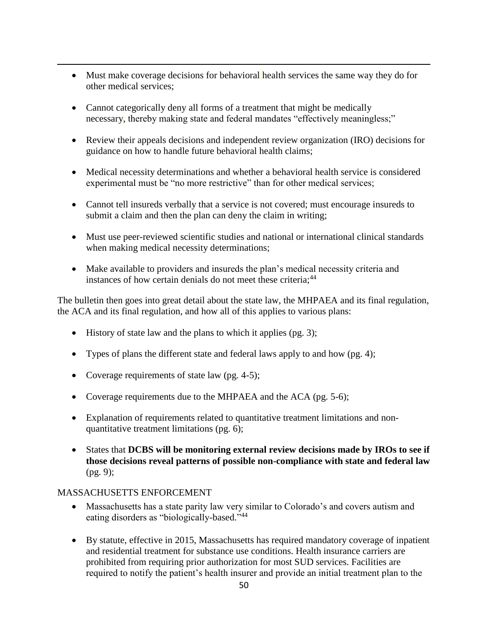- Must make coverage decisions for behavioral health services the same way they do for other medical services;
- Cannot categorically deny all forms of a treatment that might be medically necessary, thereby making state and federal mandates "effectively meaningless;"
- Review their appeals decisions and independent review organization (IRO) decisions for guidance on how to handle future behavioral health claims;
- Medical necessity determinations and whether a behavioral health service is considered experimental must be "no more restrictive" than for other medical services;
- Cannot tell insureds verbally that a service is not covered; must encourage insureds to submit a claim and then the plan can deny the claim in writing;
- Must use peer-reviewed scientific studies and national or international clinical standards when making medical necessity determinations;
- Make available to providers and insureds the plan's medical necessity criteria and instances of how certain denials do not meet these criteria;<sup>44</sup>

The bulletin then goes into great detail about the state law, the MHPAEA and its final regulation, the ACA and its final regulation, and how all of this applies to various plans:

- History of state law and the plans to which it applies (pg. 3);
- Types of plans the different state and federal laws apply to and how (pg. 4);
- Coverage requirements of state law (pg. 4-5);
- Coverage requirements due to the MHPAEA and the ACA (pg. 5-6);
- Explanation of requirements related to quantitative treatment limitations and nonquantitative treatment limitations (pg. 6);
- States that **DCBS will be monitoring external review decisions made by IROs to see if those decisions reveal patterns of possible non-compliance with state and federal law** (pg. 9);

# MASSACHUSETTS ENFORCEMENT

- Massachusetts has a state parity law very similar to Colorado's and covers autism and eating disorders as "biologically-based."<sup>44</sup>
- By statute, effective in 2015, Massachusetts has required mandatory coverage of inpatient and residential treatment for substance use conditions. Health insurance carriers are prohibited from requiring prior authorization for most SUD services. Facilities are required to notify the patient's health insurer and provide an initial treatment plan to the